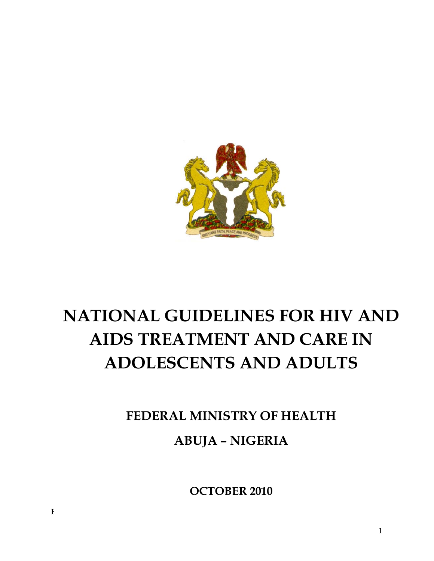

# **NATIONAL GUIDELINES FOR HIV AND AIDS TREATMENT AND CARE IN ADOLESCENTS AND ADULTS**

**FEDERAL MINISTRY OF HEALTH ABUJA – NIGERIA** 

**LIST OF CONTRIBUTORS OCTOBER 2010**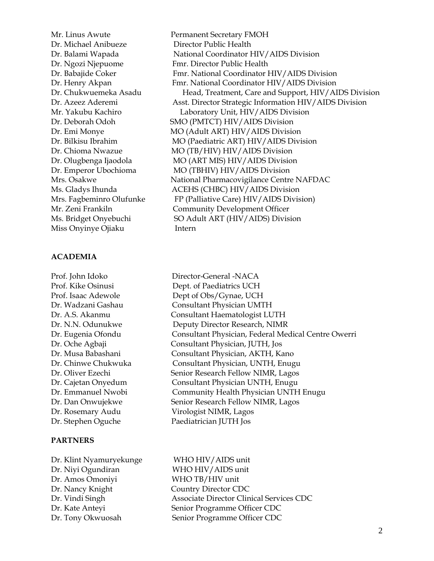Dr. Michael Anibueze Director Public Health Miss Onyinye Ojiaku Intern

#### **ACADEMIA**

Prof. John Idoko Director-General -NACA

#### **PARTNERS**

Dr. Klint Nyamuryekunge WHO HIV/AIDS unit Dr. Niyi Ogundiran WHO HIV/AIDS unit Dr. Amos Omoniyi WHO TB/HIV unit Dr. Nancy Knight Country Director CDC

Mr. Linus Awute Permanent Secretary FMOH Dr. Balami Wapada National Coordinator HIV/AIDS Division Dr. Ngozi Njepuome Fmr. Director Public Health Dr. Babajide Coker Fmr. National Coordinator HIV/AIDS Division Dr. Henry Akpan Fmr. National Coordinator HIV/AIDS Division Dr. Chukwuemeka Asadu Head, Treatment, Care and Support, HIV/AIDS Division Dr. Azeez Aderemi Asst. Director Strategic Information HIV/AIDS Division Mr. Yakubu Kachiro Laboratory Unit, HIV/AIDS Division Dr. Deborah Odoh SMO (PMTCT) HIV/AIDS Division Dr. Emi Monye MO (Adult ART) HIV/AIDS Division Dr. Bilkisu Ibrahim MO (Paediatric ART) HIV/AIDS Division Dr. Chioma Nwazue MO (TB/HIV) HIV/AIDS Division Dr. Olugbenga Ijaodola MO (ART MIS) HIV/AIDS Division Dr. Emperor Ubochioma MO (TBHIV) HIV/AIDS Division Mrs. Osakwe National Pharmacovigilance Centre NAFDAC Ms. Gladys Ihunda ACEHS (CHBC) HIV/AIDS Division Mrs. Fagbeminro Olufunke FP (Palliative Care) HIV/AIDS Division) Mr. Zeni Frankiln Community Development Officer Ms. Bridget Onyebuchi SO Adult ART (HIV/AIDS) Division

Prof. Kike Osinusi Dept. of Paediatrics UCH Prof. Isaac Adewole Dept of Obs/Gynae, UCH Dr. Wadzani Gashau Consultant Physician UMTH Dr. A.S. Akanmu Consultant Haematologist LUTH Dr. N.N. Odunukwe Deputy Director Research, NIMR Dr. Eugenia Ofondu Consultant Physician, Federal Medical Centre Owerri Dr. Oche Agbaji Consultant Physician, JUTH, Jos Dr. Musa Babashani Consultant Physician, AKTH, Kano Dr. Chinwe Chukwuka Consultant Physician, UNTH, Enugu Dr. Oliver Ezechi Senior Research Fellow NIMR, Lagos Dr. Cajetan Onyedum Consultant Physician UNTH, Enugu Dr. Emmanuel Nwobi Community Health Physician UNTH Enugu Dr. Dan Onwujekwe Senior Research Fellow NIMR, Lagos Dr. Rosemary Audu Virologist NIMR, Lagos Dr. Stephen Oguche Paediatrician JUTH Jos

Dr. Vindi Singh Associate Director Clinical Services CDC Dr. Kate Anteyi Senior Programme Officer CDC Dr. Tony Okwuosah Senior Programme Officer CDC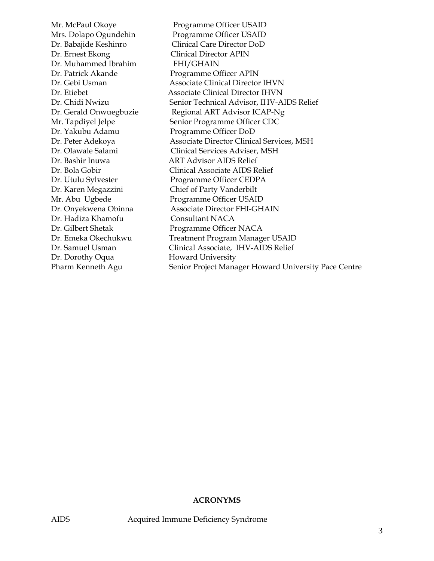Mr. McPaul Okoye Programme Officer USAID Mrs. Dolapo Ogundehin Programme Officer USAID Dr. Babajide Keshinro Clinical Care Director DoD Dr. Ernest Ekong Clinical Director APIN Dr. Muhammed Ibrahim FHI/GHAIN Dr. Patrick Akande Programme Officer APIN Dr. Gebi Usman Associate Clinical Director IHVN Dr. Etiebet Associate Clinical Director IHVN Dr. Chidi Nwizu Senior Technical Advisor, IHV-AIDS Relief Dr. Gerald Onwuegbuzie Regional ART Advisor ICAP-Ng Mr. Tapdiyel Jelpe Senior Programme Officer CDC Dr. Yakubu Adamu Programme Officer DoD Dr. Peter Adekoya Associate Director Clinical Services, MSH Dr. Olawale Salami Clinical Services Adviser, MSH Dr. Bashir Inuwa ART Advisor AIDS Relief Dr. Bola Gobir Clinical Associate AIDS Relief Dr. Utulu Sylvester Programme Officer CEDPA Dr. Karen Megazzini Chief of Party Vanderbilt Mr. Abu Ugbede Programme Officer USAID Dr. Onyekwena Obinna Associate Director FHI-GHAIN Dr. Hadiza Khamofu Consultant NACA Dr. Gilbert Shetak Programme Officer NACA Dr. Emeka Okechukwu Treatment Program Manager USAID Dr. Samuel Usman Clinical Associate, IHV-AIDS Relief Dr. Dorothy Oqua Howard University Pharm Kenneth Agu Senior Project Manager Howard University Pace Centre

#### **ACRONYMS**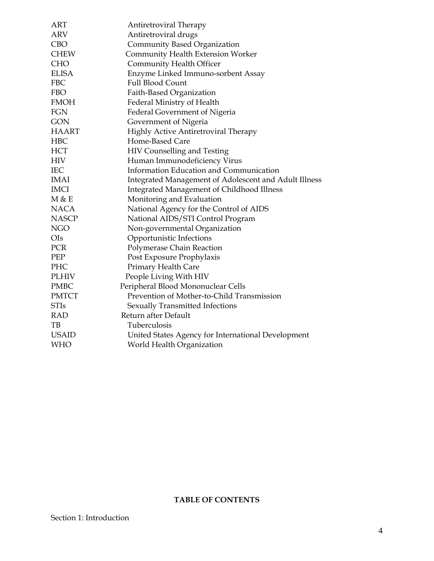| <b>ART</b>   | Antiretroviral Therapy                                |
|--------------|-------------------------------------------------------|
| <b>ARV</b>   | Antiretroviral drugs                                  |
| <b>CBO</b>   | <b>Community Based Organization</b>                   |
| <b>CHEW</b>  | <b>Community Health Extension Worker</b>              |
| <b>CHO</b>   | Community Health Officer                              |
| <b>ELISA</b> | Enzyme Linked Immuno-sorbent Assay                    |
| <b>FBC</b>   | <b>Full Blood Count</b>                               |
| <b>FBO</b>   | Faith-Based Organization                              |
| <b>FMOH</b>  | Federal Ministry of Health                            |
| <b>FGN</b>   | Federal Government of Nigeria                         |
| <b>GON</b>   | Government of Nigeria                                 |
| <b>HAART</b> | Highly Active Antiretroviral Therapy                  |
| <b>HBC</b>   | Home-Based Care                                       |
| <b>HCT</b>   | HIV Counselling and Testing                           |
| HIV          | Human Immunodeficiency Virus                          |
| <b>IEC</b>   | Information Education and Communication               |
| <b>IMAI</b>  | Integrated Management of Adolescent and Adult Illness |
| <b>IMCI</b>  | Integrated Management of Childhood Illness            |
| M & E        | Monitoring and Evaluation                             |
| <b>NACA</b>  | National Agency for the Control of AIDS               |
| <b>NASCP</b> | National AIDS/STI Control Program                     |
| <b>NGO</b>   | Non-governmental Organization                         |
| OIs          | Opportunistic Infections                              |
| PCR          | Polymerase Chain Reaction                             |
| PEP          | Post Exposure Prophylaxis                             |
| PHC          | Primary Health Care                                   |
| <b>PLHIV</b> | People Living With HIV                                |
| <b>PMBC</b>  | Peripheral Blood Mononuclear Cells                    |
| <b>PMTCT</b> | Prevention of Mother-to-Child Transmission            |
| <b>STIs</b>  | Sexually Transmitted Infections                       |
| RAD          | Return after Default                                  |
| TВ           | Tuberculosis                                          |
| <b>USAID</b> | United States Agency for International Development    |
| <b>WHO</b>   | World Health Organization                             |

# **TABLE OF CONTENTS**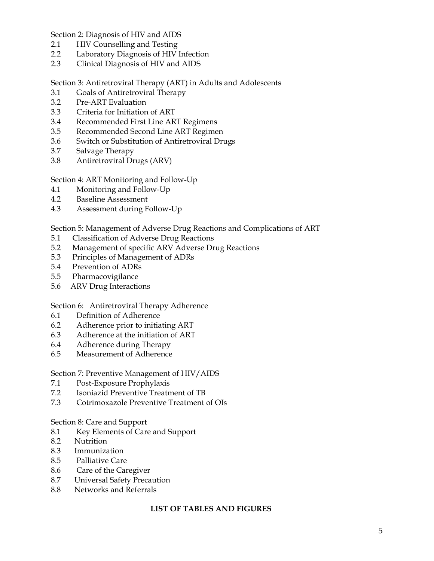Section 2: Diagnosis of HIV and AIDS

- 2.1 HIV Counselling and Testing
- 2.2 Laboratory Diagnosis of HIV Infection
- 2.3 Clinical Diagnosis of HIV and AIDS

Section 3: Antiretroviral Therapy (ART) in Adults and Adolescents

- 3.1 Goals of Antiretroviral Therapy
- 3.2 Pre-ART Evaluation
- 3.3 Criteria for Initiation of ART
- 3.4 Recommended First Line ART Regimens
- 3.5 Recommended Second Line ART Regimen
- 3.6 Switch or Substitution of Antiretroviral Drugs
- 3.7 Salvage Therapy
- 3.8 Antiretroviral Drugs (ARV)

Section 4: ART Monitoring and Follow-Up

- 4.1 Monitoring and Follow-Up
- 4.2 Baseline Assessment
- 4.3 Assessment during Follow-Up

Section 5: Management of Adverse Drug Reactions and Complications of ART

- 5.1 Classification of Adverse Drug Reactions
- 5.2 Management of specific ARV Adverse Drug Reactions
- 5.3 Principles of Management of ADRs
- 5.4 Prevention of ADRs
- 5.5 Pharmacovigilance
- 5.6 ARV Drug Interactions

#### Section 6: Antiretroviral Therapy Adherence

- 6.1 Definition of Adherence
- 6.2 Adherence prior to initiating ART
- 6.3 Adherence at the initiation of ART
- 6.4 Adherence during Therapy
- 6.5 Measurement of Adherence

#### Section 7: Preventive Management of HIV/AIDS

- 7.1 Post-Exposure Prophylaxis
- 7.2 Isoniazid Preventive Treatment of TB
- 7.3 Cotrimoxazole Preventive Treatment of OIs

#### Section 8: Care and Support

- 8.1 Key Elements of Care and Support
- 8.2 Nutrition
- 8.3 Immunization
- 8.5 Palliative Care
- 8.6 Care of the Caregiver
- 8.7 Universal Safety Precaution
- 8.8 Networks and Referrals

#### **LIST OF TABLES AND FIGURES**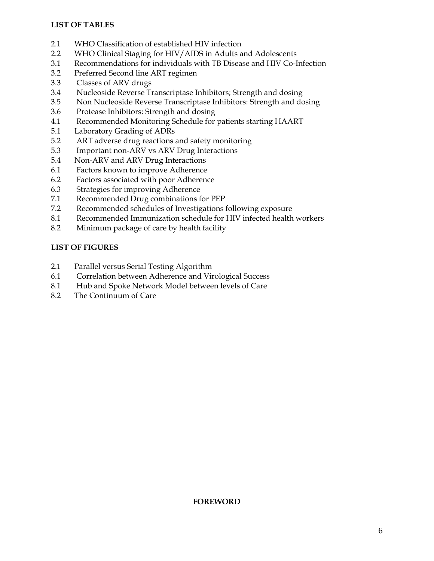# **LIST OF TABLES**

- 2.1 WHO Classification of established HIV infection
- 2.2 WHO Clinical Staging for HIV/AIDS in Adults and Adolescents
- 3.1 Recommendations for individuals with TB Disease and HIV Co-Infection
- 3.2 Preferred Second line ART regimen
- 3.3 Classes of ARV drugs
- 3.4 Nucleoside Reverse Transcriptase Inhibitors; Strength and dosing
- 3.5 Non Nucleoside Reverse Transcriptase Inhibitors: Strength and dosing
- 3.6 Protease Inhibitors: Strength and dosing
- 4.1 Recommended Monitoring Schedule for patients starting HAART
- 5.1 Laboratory Grading of ADRs
- 5.2 ART adverse drug reactions and safety monitoring
- 5.3 Important non-ARV vs ARV Drug Interactions
- 5.4 Non-ARV and ARV Drug Interactions
- 6.1 Factors known to improve Adherence
- 6.2 Factors associated with poor Adherence
- 6.3 Strategies for improving Adherence
- 7.1 Recommended Drug combinations for PEP
- 7.2 Recommended schedules of Investigations following exposure
- 8.1 Recommended Immunization schedule for HIV infected health workers
- 8.2 Minimum package of care by health facility

#### **LIST OF FIGURES**

- 2.1 Parallel versus Serial Testing Algorithm
- 6.1 Correlation between Adherence and Virological Success
- 8.1 Hub and Spoke Network Model between levels of Care
- 8.2 The Continuum of Care

#### **FOREWORD**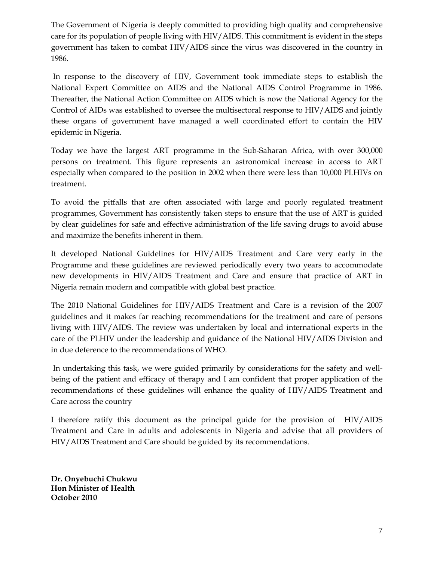The Government of Nigeria is deeply committed to providing high quality and comprehensive care for its population of people living with HIV/AIDS. This commitment is evident in the steps government has taken to combat HIV/AIDS since the virus was discovered in the country in 1986.

 In response to the discovery of HIV, Government took immediate steps to establish the National Expert Committee on AIDS and the National AIDS Control Programme in 1986. Thereafter, the National Action Committee on AIDS which is now the National Agency for the Control of AIDs was established to oversee the multisectoral response to HIV/AIDS and jointly these organs of government have managed a well coordinated effort to contain the HIV epidemic in Nigeria.

Today we have the largest ART programme in the Sub-Saharan Africa, with over 300,000 persons on treatment. This figure represents an astronomical increase in access to ART especially when compared to the position in 2002 when there were less than 10,000 PLHIVs on treatment.

To avoid the pitfalls that are often associated with large and poorly regulated treatment programmes, Government has consistently taken steps to ensure that the use of ART is guided by clear guidelines for safe and effective administration of the life saving drugs to avoid abuse and maximize the benefits inherent in them.

It developed National Guidelines for HIV/AIDS Treatment and Care very early in the Programme and these guidelines are reviewed periodically every two years to accommodate new developments in HIV/AIDS Treatment and Care and ensure that practice of ART in Nigeria remain modern and compatible with global best practice.

The 2010 National Guidelines for HIV/AIDS Treatment and Care is a revision of the 2007 guidelines and it makes far reaching recommendations for the treatment and care of persons living with HIV/AIDS. The review was undertaken by local and international experts in the care of the PLHIV under the leadership and guidance of the National HIV/AIDS Division and in due deference to the recommendations of WHO.

 In undertaking this task, we were guided primarily by considerations for the safety and wellbeing of the patient and efficacy of therapy and I am confident that proper application of the recommendations of these guidelines will enhance the quality of HIV/AIDS Treatment and Care across the country

I therefore ratify this document as the principal guide for the provision of HIV/AIDS Treatment and Care in adults and adolescents in Nigeria and advise that all providers of HIV/AIDS Treatment and Care should be guided by its recommendations.

**Dr. Onyebuchi Chukwu Hon Minister of Health October 2010**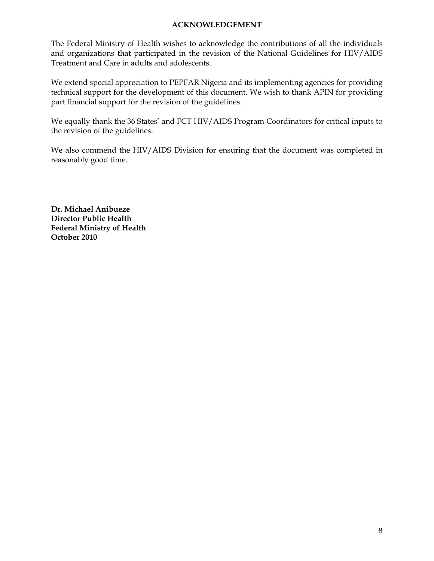#### **ACKNOWLEDGEMENT**

The Federal Ministry of Health wishes to acknowledge the contributions of all the individuals and organizations that participated in the revision of the National Guidelines for HIV/AIDS Treatment and Care in adults and adolescents.

We extend special appreciation to PEPFAR Nigeria and its implementing agencies for providing technical support for the development of this document. We wish to thank APIN for providing part financial support for the revision of the guidelines.

We equally thank the 36 States' and FCT HIV/AIDS Program Coordinators for critical inputs to the revision of the guidelines.

We also commend the HIV/AIDS Division for ensuring that the document was completed in reasonably good time.

**Dr. Michael Anibueze Director Public Health Federal Ministry of Health October 2010**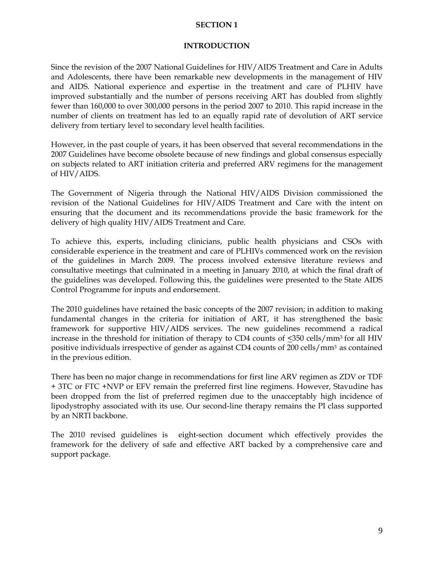#### **SECTION 1**

#### **INTRODUCTION**

Since the revision of the 2007 National Guidelines for HIV/AIDS Treatment and Care in Adults and Adolescents, there have been remarkable new developments in the management of HIV and AIDS. National experience and expertise in the treatment and care of PLHIV have improved substantially and the number of persons receiving ART has doubled from slightly fewer than 160,000 to over 300,000 persons in the period 2007 to 2010. This rapid increase in the number of clients on treatment has led to an equally rapid rate of devolution of ART service delivery from tertiary level to secondary level health facilities.

However, in the past couple of years, it has been observed that several recommendations in the 2007 Guidelines have become obsolete because of new findings and global consensus especially on subjects related to ART initiation criteria and preferred ARV regimens for the management of HIV/AIDS.

The Government of Nigeria through the National HIV/AIDS Division commissioned the revision of the National Guidelines for HIV/AIDS Treatment and Care with the intent on ensuring that the document and its recommendations provide the basic framework for the delivery of high quality HIV/AIDS Treatment and Care.

To achieve this, experts, including clinicians, public health physicians and CSOs with considerable experience in the treatment and care of PLHIVs commenced work on the revision of the guidelines in March 2009. The process involved extensive literature reviews and consultative meetings that culminated in a meeting in January 2010, at which the final draft of the guidelines was developed. Following this, the guidelines were presented to the State AIDS Control Programme for inputs and endorsement.

The 2010 guidelines have retained the basic concepts of the 2007 revision; in addition to making fundamental changes in the criteria for initiation of ART, it has strengthened the basic framework for supportive HIV/AIDS services. The new guidelines recommend a radical increase in the threshold for initiation of therapy to CD4 counts of  $\leq$ 350 cells/mm<sup>3</sup> for all HIV positive individuals irrespective of gender as against CD4 counts of 200 cells/mm<sup>3</sup> as contained in the previous edition.

There has been no major change in recommendations for first line ARV regimen as ZDV or TDF + 3TC or FTC +NVP or EFV remain the preferred first line regimens. However, Stavudine has been dropped from the list of preferred regimen due to the unacceptably high incidence of lipodystrophy associated with its use. Our second-line therapy remains the PI class supported by an NRTI backbone.

The 2010 revised guidelines is eight-section document which effectively provides the framework for the delivery of safe and effective ART backed by a comprehensive care and support package.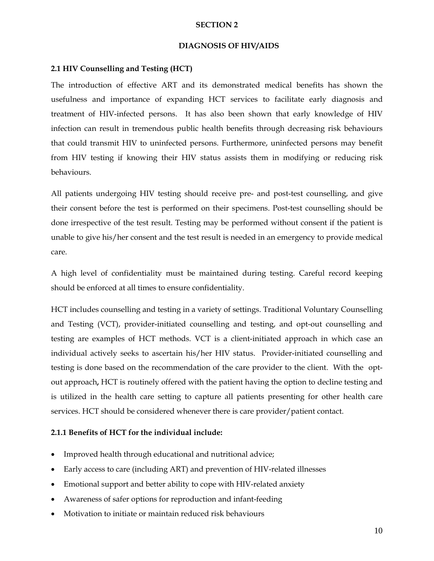#### **SECTION 2**

#### **DIAGNOSIS OF HIV/AIDS**

#### **2.1 HIV Counselling and Testing (HCT)**

The introduction of effective ART and its demonstrated medical benefits has shown the usefulness and importance of expanding HCT services to facilitate early diagnosis and treatment of HIV-infected persons. It has also been shown that early knowledge of HIV infection can result in tremendous public health benefits through decreasing risk behaviours that could transmit HIV to uninfected persons. Furthermore, uninfected persons may benefit from HIV testing if knowing their HIV status assists them in modifying or reducing risk behaviours.

All patients undergoing HIV testing should receive pre- and post-test counselling, and give their consent before the test is performed on their specimens. Post-test counselling should be done irrespective of the test result. Testing may be performed without consent if the patient is unable to give his/her consent and the test result is needed in an emergency to provide medical care.

A high level of confidentiality must be maintained during testing. Careful record keeping should be enforced at all times to ensure confidentiality.

HCT includes counselling and testing in a variety of settings. Traditional Voluntary Counselling and Testing (VCT), provider-initiated counselling and testing, and opt-out counselling and testing are examples of HCT methods. VCT is a client-initiated approach in which case an individual actively seeks to ascertain his/her HIV status. Provider-initiated counselling and testing is done based on the recommendation of the care provider to the client. With the optout approach**,** HCT is routinely offered with the patient having the option to decline testing and is utilized in the health care setting to capture all patients presenting for other health care services. HCT should be considered whenever there is care provider/patient contact.

#### **2.1.1 Benefits of HCT for the individual include:**

- Improved health through educational and nutritional advice;
- Early access to care (including ART) and prevention of HIV-related illnesses
- Emotional support and better ability to cope with HIV-related anxiety
- Awareness of safer options for reproduction and infant-feeding
- Motivation to initiate or maintain reduced risk behaviours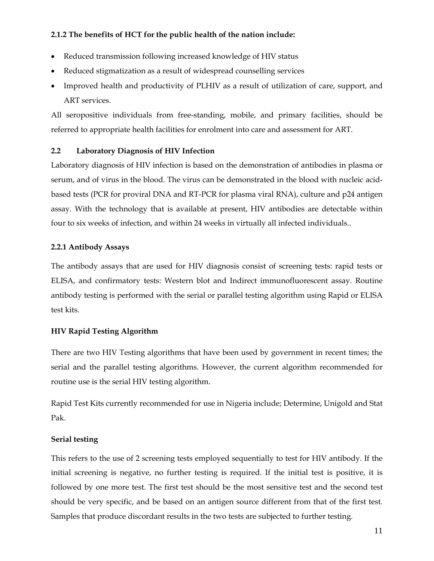## **2.1.2 The benefits of HCT for the public health of the nation include:**

- Reduced transmission following increased knowledge of HIV status
- Reduced stigmatization as a result of widespread counselling services
- Improved health and productivity of PLHIV as a result of utilization of care, support, and ART services.

All seropositive individuals from free-standing, mobile, and primary facilities, should be referred to appropriate health facilities for enrolment into care and assessment for ART.

#### **2.2 Laboratory Diagnosis of HIV Infection**

Laboratory diagnosis of HIV infection is based on the demonstration of antibodies in plasma or serum, and of virus in the blood. The virus can be demonstrated in the blood with nucleic acidbased tests (PCR for proviral DNA and RT-PCR for plasma viral RNA), culture and p24 antigen assay. With the technology that is available at present, HIV antibodies are detectable within four to six weeks of infection, and within 24 weeks in virtually all infected individuals..

# **2.2.1 Antibody Assays**

The antibody assays that are used for HIV diagnosis consist of screening tests: rapid tests or ELISA, and confirmatory tests: Western blot and Indirect immunofluorescent assay. Routine antibody testing is performed with the serial or parallel testing algorithm using Rapid or ELISA test kits.

# **HIV Rapid Testing Algorithm**

There are two HIV Testing algorithms that have been used by government in recent times; the serial and the parallel testing algorithms. However, the current algorithm recommended for routine use is the serial HIV testing algorithm.

Rapid Test Kits currently recommended for use in Nigeria include; Determine, Unigold and Stat Pak.

# **Serial testing**

This refers to the use of 2 screening tests employed sequentially to test for HIV antibody. If the initial screening is negative, no further testing is required. If the initial test is positive, it is followed by one more test. The first test should be the most sensitive test and the second test should be very specific, and be based on an antigen source different from that of the first test. Samples that produce discordant results in the two tests are subjected to further testing.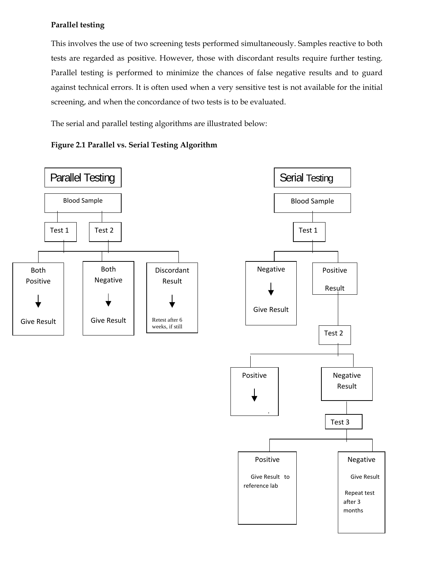# **Parallel testing**

This involves the use of two screening tests performed simultaneously. Samples reactive to both tests are regarded as positive. However, those with discordant results require further testing. Parallel testing is performed to minimize the chances of false negative results and to guard against technical errors. It is often used when a very sensitive test is not available for the initial screening, and when the concordance of two tests is to be evaluated.

The serial and parallel testing algorithms are illustrated below:







 $\overline{\phantom{0}}$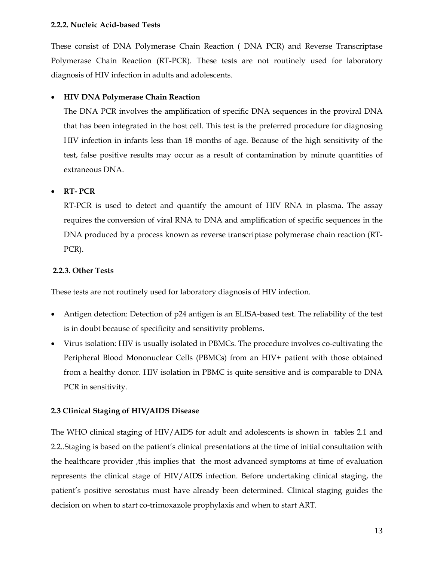#### **2.2.2. Nucleic Acid-based Tests**

These consist of DNA Polymerase Chain Reaction ( DNA PCR) and Reverse Transcriptase Polymerase Chain Reaction (RT-PCR). These tests are not routinely used for laboratory diagnosis of HIV infection in adults and adolescents.

# • **HIV DNA Polymerase Chain Reaction**

The DNA PCR involves the amplification of specific DNA sequences in the proviral DNA that has been integrated in the host cell. This test is the preferred procedure for diagnosing HIV infection in infants less than 18 months of age. Because of the high sensitivity of the test, false positive results may occur as a result of contamination by minute quantities of extraneous DNA.

# • **RT- PCR**

RT-PCR is used to detect and quantify the amount of HIV RNA in plasma. The assay requires the conversion of viral RNA to DNA and amplification of specific sequences in the DNA produced by a process known as reverse transcriptase polymerase chain reaction (RT-PCR).

#### **2.2.3. Other Tests**

These tests are not routinely used for laboratory diagnosis of HIV infection.

- Antigen detection: Detection of p24 antigen is an ELISA-based test. The reliability of the test is in doubt because of specificity and sensitivity problems.
- Virus isolation: HIV is usually isolated in PBMCs. The procedure involves co-cultivating the Peripheral Blood Mononuclear Cells (PBMCs) from an HIV+ patient with those obtained from a healthy donor. HIV isolation in PBMC is quite sensitive and is comparable to DNA PCR in sensitivity.

#### **2.3 Clinical Staging of HIV/AIDS Disease**

The WHO clinical staging of HIV/AIDS for adult and adolescents is shown in tables 2.1 and 2.2..Staging is based on the patient's clinical presentations at the time of initial consultation with the healthcare provider ,this implies that the most advanced symptoms at time of evaluation represents the clinical stage of HIV/AIDS infection. Before undertaking clinical staging, the patient's positive serostatus must have already been determined. Clinical staging guides the decision on when to start co-trimoxazole prophylaxis and when to start ART.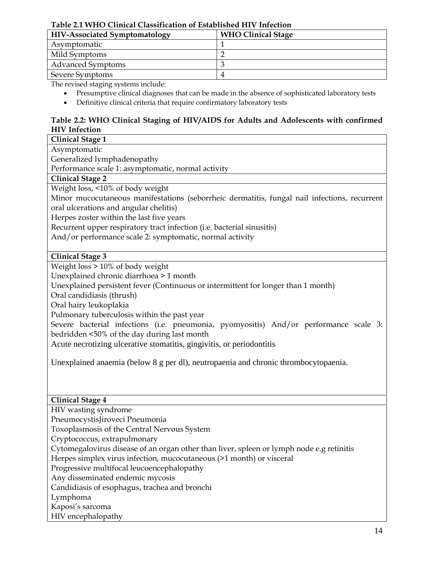#### **Table 2.1 WHO Clinical Classification of Established HIV Infection**

| <b>HIV-Associated Symptomatology</b> | <b>WHO Clinical Stage</b> |  |  |
|--------------------------------------|---------------------------|--|--|
| Asymptomatic                         |                           |  |  |
| Mild Symptoms                        |                           |  |  |
| <b>Advanced Symptoms</b>             |                           |  |  |
| Severe Symptoms                      |                           |  |  |

The revised staging systems include:

- Presumptive clinical diagnoses that can be made in the absence of sophisticated laboratory tests
- Definitive clinical criteria that require confirmatory laboratory tests

# **Table 2.2: WHO Clinical Staging of HIV/AIDS for Adults and Adolescents with confirmed HIV Infection**

| <b>Clinical Stage 1</b>                                                                      |
|----------------------------------------------------------------------------------------------|
| Asymptomatic                                                                                 |
| Generalized lymphadenopathy                                                                  |
| Performance scale 1: asymptomatic, normal activity                                           |
| <b>Clinical Stage 2</b>                                                                      |
| Weight loss, <10% of body weight                                                             |
| Minor mucocutaneous manifestations (seborrheic dermatitis, fungal nail infections, recurrent |
| oral ulcerations and angular chelitis)                                                       |
| Herpes zoster within the last five years                                                     |
| Recurrent upper respiratory tract infection (i.e. bacterial sinusitis)                       |
| And/or performance scale 2: symptomatic, normal activity                                     |
|                                                                                              |
| <b>Clinical Stage 3</b>                                                                      |
| Weight loss > 10% of body weight                                                             |
| Unexplained chronic diarrhoea > 1 month                                                      |
| Unexplained persistent fever (Continuous or intermittent for longer than 1 month)            |
| Oral candidiasis (thrush)                                                                    |
| Oral hairy leukoplakia                                                                       |
| Pulmonary tuberculosis within the past year                                                  |
| Severe bacterial infections (i.e. pneumonia, pyomyositis) And/or performance scale 3:        |
| bedridden <50% of the day during last month                                                  |
| Acute necrotizing ulcerative stomatitis, gingivitis, or periodontitis                        |
|                                                                                              |
| Unexplained anaemia (below 8 g per dl), neutropaenia and chronic thrombocytopaenia.          |
|                                                                                              |
|                                                                                              |
|                                                                                              |
| <b>Clinical Stage 4</b>                                                                      |
| HIV wasting syndrome                                                                         |
| PneumocystisJiroveci Pneumonia                                                               |
| Toxoplasmosis of the Central Nervous System                                                  |
| Cryptococcus, extrapulmonary                                                                 |
| Cytomegalovirus disease of an organ other than liver, spleen or lymph node e.g retinitis     |
| Herpes simplex virus infection, mucocutaneous (>1 month) or visceral                         |
| Progressive multifocal leucoencephalopathy                                                   |
| Any disseminated endemic mycosis                                                             |
| Candidiasis of esophagus, trachea and bronchi                                                |
| Lymphoma                                                                                     |
| Kaposi's sarcoma                                                                             |
| HIV encephalopathy                                                                           |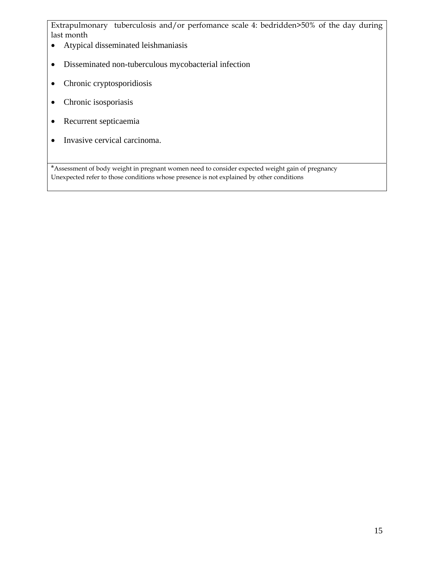Extrapulmonary tuberculosis and/or perfomance scale 4: bedridden>50% of the day during last month

- Atypical disseminated leishmaniasis
- Disseminated non-tuberculous mycobacterial infection
- Chronic cryptosporidiosis
- Chronic isosporiasis
- Recurrent septicaemia
- Invasive cervical carcinoma.

\*Assessment of body weight in pregnant women need to consider expected weight gain of pregnancy Unexpected refer to those conditions whose presence is not explained by other conditions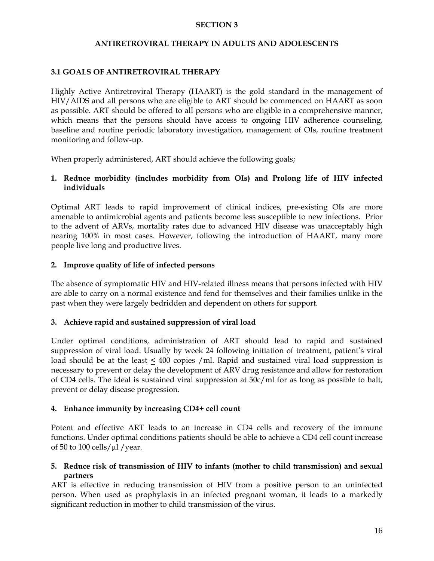# **SECTION 3**

## **ANTIRETROVIRAL THERAPY IN ADULTS AND ADOLESCENTS**

# **3.1 GOALS OF ANTIRETROVIRAL THERAPY**

Highly Active Antiretroviral Therapy (HAART) is the gold standard in the management of HIV/AIDS and all persons who are eligible to ART should be commenced on HAART as soon as possible. ART should be offered to all persons who are eligible in a comprehensive manner, which means that the persons should have access to ongoing HIV adherence counseling, baseline and routine periodic laboratory investigation, management of OIs, routine treatment monitoring and follow-up.

When properly administered, ART should achieve the following goals;

# **1. Reduce morbidity (includes morbidity from OIs) and Prolong life of HIV infected individuals**

Optimal ART leads to rapid improvement of clinical indices, pre-existing OIs are more amenable to antimicrobial agents and patients become less susceptible to new infections. Prior to the advent of ARVs, mortality rates due to advanced HIV disease was unacceptably high nearing 100% in most cases. However, following the introduction of HAART, many more people live long and productive lives.

# **2. Improve quality of life of infected persons**

The absence of symptomatic HIV and HIV-related illness means that persons infected with HIV are able to carry on a normal existence and fend for themselves and their families unlike in the past when they were largely bedridden and dependent on others for support.

# **3. Achieve rapid and sustained suppression of viral load**

Under optimal conditions, administration of ART should lead to rapid and sustained suppression of viral load. Usually by week 24 following initiation of treatment, patient's viral load should be at the least < 400 copies /ml. Rapid and sustained viral load suppression is necessary to prevent or delay the development of ARV drug resistance and allow for restoration of CD4 cells. The ideal is sustained viral suppression at 50c/ml for as long as possible to halt, prevent or delay disease progression.

#### **4. Enhance immunity by increasing CD4+ cell count**

Potent and effective ART leads to an increase in CD4 cells and recovery of the immune functions. Under optimal conditions patients should be able to achieve a CD4 cell count increase of 50 to 100 cells/ $\mu$ l/year.

# **5. Reduce risk of transmission of HIV to infants (mother to child transmission) and sexual partners**

ART is effective in reducing transmission of HIV from a positive person to an uninfected person. When used as prophylaxis in an infected pregnant woman, it leads to a markedly significant reduction in mother to child transmission of the virus.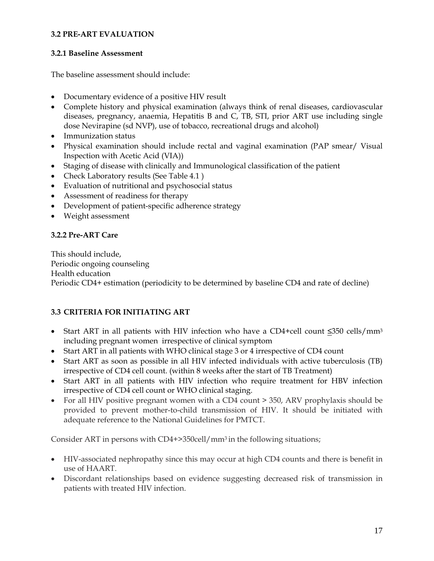## **3.2 PRE-ART EVALUATION**

## **3.2.1 Baseline Assessment**

The baseline assessment should include:

- Documentary evidence of a positive HIV result
- Complete history and physical examination (always think of renal diseases, cardiovascular diseases, pregnancy, anaemia, Hepatitis B and C, TB, STI, prior ART use including single dose Nevirapine (sd NVP), use of tobacco, recreational drugs and alcohol)
- Immunization status
- Physical examination should include rectal and vaginal examination (PAP smear/ Visual Inspection with Acetic Acid (VIA))
- Staging of disease with clinically and Immunological classification of the patient
- Check Laboratory results (See Table 4.1)
- Evaluation of nutritional and psychosocial status
- Assessment of readiness for therapy
- Development of patient-specific adherence strategy
- Weight assessment

# **3.2.2 Pre-ART Care**

This should include, Periodic ongoing counseling Health education Periodic CD4+ estimation (periodicity to be determined by baseline CD4 and rate of decline)

# **3.3 CRITERIA FOR INITIATING ART**

- Start ART in all patients with HIV infection who have a CD4+cell count ≤350 cells/mm3 including pregnant women irrespective of clinical symptom
- Start ART in all patients with WHO clinical stage 3 or 4 irrespective of CD4 count
- Start ART as soon as possible in all HIV infected individuals with active tuberculosis (TB) irrespective of CD4 cell count. (within 8 weeks after the start of TB Treatment)
- Start ART in all patients with HIV infection who require treatment for HBV infection irrespective of CD4 cell count or WHO clinical staging.
- For all HIV positive pregnant women with a CD4 count  $>$  350, ARV prophylaxis should be provided to prevent mother-to-child transmission of HIV. It should be initiated with adequate reference to the National Guidelines for PMTCT.

Consider ART in persons with  $CD4+>350$ cell/mm<sup>3</sup> in the following situations;

- HIV-associated nephropathy since this may occur at high CD4 counts and there is benefit in use of HAART.
- Discordant relationships based on evidence suggesting decreased risk of transmission in patients with treated HIV infection.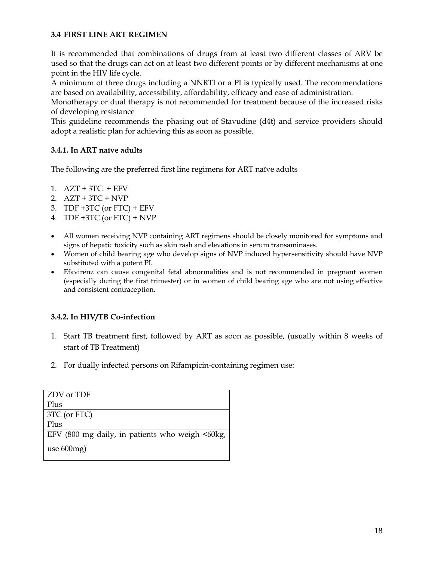# **3.4 FIRST LINE ART REGIMEN**

It is recommended that combinations of drugs from at least two different classes of ARV be used so that the drugs can act on at least two different points or by different mechanisms at one point in the HIV life cycle.

A minimum of three drugs including a NNRTI or a PI is typically used. The recommendations are based on availability, accessibility, affordability, efficacy and ease of administration.

Monotherapy or dual therapy is not recommended for treatment because of the increased risks of developing resistance

This guideline recommends the phasing out of Stavudine (d4t) and service providers should adopt a realistic plan for achieving this as soon as possible.

# **3.4.1. In ART naïve adults**

The following are the preferred first line regimens for ART naïve adults

- 1.  $AZT + 3TC + EFV$
- 2. AZT + 3TC + NVP
- 3. TDF  $+3TC$  (or FTC)  $+EFV$
- 4. TDF +3TC (or FTC) + NVP
- All women receiving NVP containing ART regimens should be closely monitored for symptoms and signs of hepatic toxicity such as skin rash and elevations in serum transaminases.
- Women of child bearing age who develop signs of NVP induced hypersensitivity should have NVP substituted with a potent PI.
- Efavirenz can cause congenital fetal abnormalities and is not recommended in pregnant women (especially during the first trimester) or in women of child bearing age who are not using effective and consistent contraception.

# **3.4.2. In HIV/TB Co-infection**

- 1. Start TB treatment first, followed by ART as soon as possible, (usually within 8 weeks of start of TB Treatment)
- 2. For dually infected persons on Rifampicin-containing regimen use:

| ZDV or TDF                                      |
|-------------------------------------------------|
| Plus                                            |
| $\vert$ 3TC (or FTC)                            |
| Plus                                            |
| EFV (800 mg daily, in patients who weigh <60kg, |
| use $600mg$ )                                   |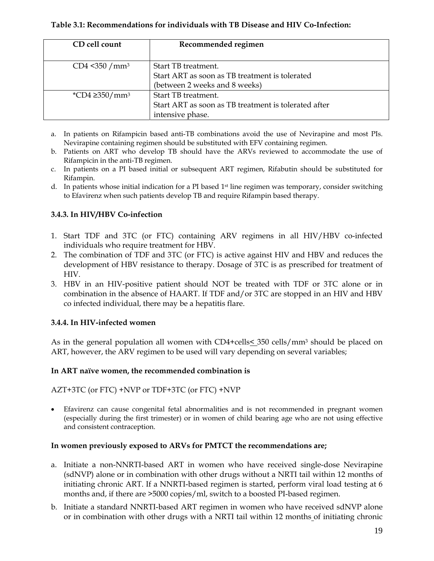## **Table 3.1: Recommendations for individuals with TB Disease and HIV Co-Infection:**

| CD cell count                   | Recommended regimen                                                                                    |
|---------------------------------|--------------------------------------------------------------------------------------------------------|
| CD4 < 350 / mm <sup>3</sup>     | Start TB treatment.<br>Start ART as soon as TB treatment is tolerated<br>(between 2 weeks and 8 weeks) |
| *CD4 $\geq$ 350/mm <sup>3</sup> | Start TB treatment.<br>Start ART as soon as TB treatment is tolerated after<br>intensive phase.        |

- a. In patients on Rifampicin based anti-TB combinations avoid the use of Nevirapine and most PIs. Nevirapine containing regimen should be substituted with EFV containing regimen.
- b. Patients on ART who develop TB should have the ARVs reviewed to accommodate the use of Rifampicin in the anti-TB regimen.
- c. In patients on a PI based initial or subsequent ART regimen, Rifabutin should be substituted for Rifampin.
- d. In patients whose initial indication for a PI based  $1<sup>st</sup>$  line regimen was temporary, consider switching to Efavirenz when such patients develop TB and require Rifampin based therapy.

# **3.4.3. In HIV/HBV Co-infection**

- 1. Start TDF and 3TC (or FTC) containing ARV regimens in all HIV/HBV co-infected individuals who require treatment for HBV.
- 2. The combination of TDF and 3TC (or FTC) is active against HIV and HBV and reduces the development of HBV resistance to therapy. Dosage of 3TC is as prescribed for treatment of HIV.
- 3. HBV in an HIV-positive patient should NOT be treated with TDF or 3TC alone or in combination in the absence of HAART. If TDF and/or 3TC are stopped in an HIV and HBV co infected individual, there may be a hepatitis flare.

# **3.4.4. In HIV-infected women**

As in the general population all women with CD4+cells< 350 cells/mm3 should be placed on ART, however, the ARV regimen to be used will vary depending on several variables;

#### **In ART naïve women, the recommended combination is**

AZT+3TC (or FTC) +NVP or TDF+3TC (or FTC) +NVP

• Efavirenz can cause congenital fetal abnormalities and is not recommended in pregnant women (especially during the first trimester) or in women of child bearing age who are not using effective and consistent contraception.

#### **In women previously exposed to ARVs for PMTCT the recommendations are;**

- a. Initiate a non-NNRTI-based ART in women who have received single-dose Nevirapine (sdNVP) alone or in combination with other drugs without a NRTI tail within 12 months of initiating chronic ART. If a NNRTI-based regimen is started, perform viral load testing at 6 months and, if there are >5000 copies/ml, switch to a boosted PI-based regimen.
- b. Initiate a standard NNRTI-based ART regimen in women who have received sdNVP alone or in combination with other drugs with a NRTI tail within 12 months of initiating chronic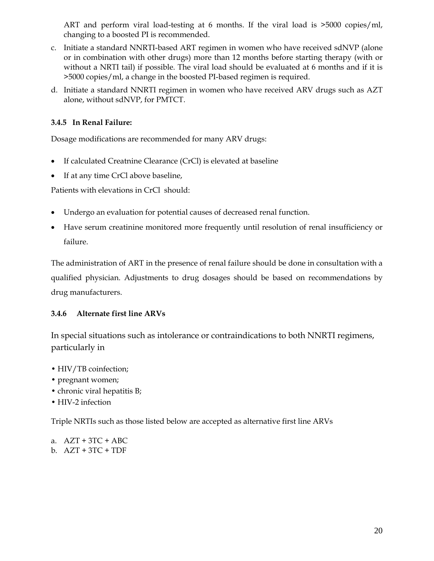ART and perform viral load-testing at 6 months. If the viral load is >5000 copies/ml, changing to a boosted PI is recommended.

- c. Initiate a standard NNRTI-based ART regimen in women who have received sdNVP (alone or in combination with other drugs) more than 12 months before starting therapy (with or without a NRTI tail) if possible. The viral load should be evaluated at 6 months and if it is >5000 copies/ml, a change in the boosted PI-based regimen is required.
- d. Initiate a standard NNRTI regimen in women who have received ARV drugs such as AZT alone, without sdNVP, for PMTCT.

# **3.4.5 In Renal Failure:**

Dosage modifications are recommended for many ARV drugs:

- If calculated Creatnine Clearance (CrCl) is elevated at baseline
- If at any time CrCl above baseline,

Patients with elevations in CrCl should:

- Undergo an evaluation for potential causes of decreased renal function.
- Have serum creatinine monitored more frequently until resolution of renal insufficiency or failure.

The administration of ART in the presence of renal failure should be done in consultation with a qualified physician. Adjustments to drug dosages should be based on recommendations by drug manufacturers.

# **3.4.6 Alternate first line ARVs**

In special situations such as intolerance or contraindications to both NNRTI regimens, particularly in

- HIV/TB coinfection;
- pregnant women;
- chronic viral hepatitis B;
- HIV-2 infection

Triple NRTIs such as those listed below are accepted as alternative first line ARVs

a.  $AZT + 3TC + ABC$ b. AZT + 3TC + TDF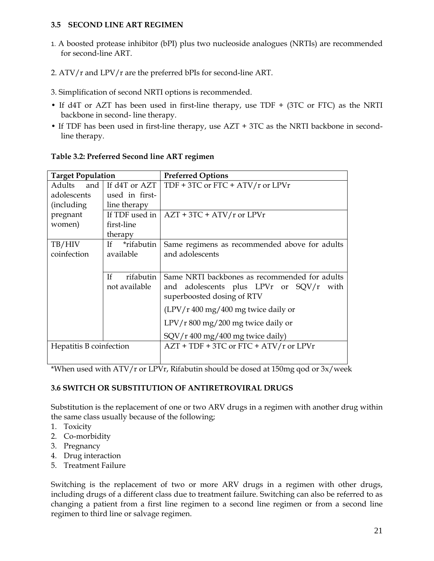# **3.5 SECOND LINE ART REGIMEN**

- 1. A boosted protease inhibitor (bPI) plus two nucleoside analogues (NRTIs) are recommended for second-line ART.
- 2. ATV/r and LPV/r are the preferred bPIs for second-line ART.
- 3. Simplification of second NRTI options is recommended.
- If d4T or AZT has been used in first-line therapy, use TDF + (3TC or FTC) as the NRTI backbone in second- line therapy.
- If TDF has been used in first-line therapy, use AZT + 3TC as the NRTI backbone in secondline therapy.

| <b>Target Population</b> |                          | <b>Preferred Options</b>                      |  |  |  |
|--------------------------|--------------------------|-----------------------------------------------|--|--|--|
|                          | Adults and If d4T or AZT | TDF + 3TC or FTC + $ATV/r$ or LPVr            |  |  |  |
| adolescents              | used in first-           |                                               |  |  |  |
| (including)              | line therapy             |                                               |  |  |  |
| pregnant                 | If TDF used in           | $AZT + 3TC + ATV/r$ or LPVr                   |  |  |  |
| women)                   | first-line               |                                               |  |  |  |
|                          | therapy                  |                                               |  |  |  |
| TB/HIV                   | *rifabutin<br>If -       | Same regimens as recommended above for adults |  |  |  |
| coinfection              | available                | and adolescents                               |  |  |  |
|                          |                          |                                               |  |  |  |
|                          | <b>If</b><br>rifabutin   | Same NRTI backbones as recommended for adults |  |  |  |
|                          | not available            | and adolescents plus LPVr or SQV/r<br>with    |  |  |  |
|                          |                          | superboosted dosing of RTV                    |  |  |  |
|                          |                          | $(LPV/r 400 mg/400 mg$ twice daily or         |  |  |  |
|                          |                          | LPV/r 800 mg/200 mg twice daily or            |  |  |  |
|                          |                          | SQV/r 400 mg/400 mg twice daily)              |  |  |  |
| Hepatitis B coinfection  |                          | $AZT + TDF + 3TC$ or $FTC + ATV/r$ or $LPVr$  |  |  |  |
|                          |                          |                                               |  |  |  |

#### **Table 3.2: Preferred Second line ART regimen**

\*When used with ATV/r or LPVr, Rifabutin should be dosed at 150mg qod or 3x/week

# **3.6 SWITCH OR SUBSTITUTION OF ANTIRETROVIRAL DRUGS**

Substitution is the replacement of one or two ARV drugs in a regimen with another drug within the same class usually because of the following;

- 1. Toxicity
- 2. Co-morbidity
- 3. Pregnancy
- 4. Drug interaction
- 5. Treatment Failure

Switching is the replacement of two or more ARV drugs in a regimen with other drugs, including drugs of a different class due to treatment failure. Switching can also be referred to as changing a patient from a first line regimen to a second line regimen or from a second line regimen to third line or salvage regimen.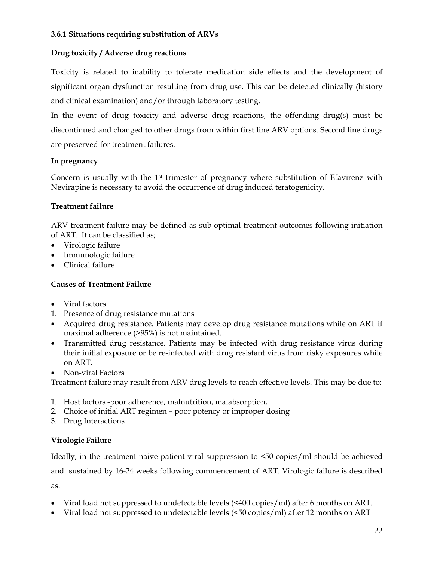## **3.6.1 Situations requiring substitution of ARVs**

# **Drug toxicity / Adverse drug reactions**

Toxicity is related to inability to tolerate medication side effects and the development of significant organ dysfunction resulting from drug use. This can be detected clinically (history and clinical examination) and/or through laboratory testing.

In the event of drug toxicity and adverse drug reactions, the offending drug(s) must be discontinued and changed to other drugs from within first line ARV options. Second line drugs are preserved for treatment failures.

#### **In pregnancy**

Concern is usually with the  $1st$  trimester of pregnancy where substitution of Efavirenz with Nevirapine is necessary to avoid the occurrence of drug induced teratogenicity.

# **Treatment failure**

ARV treatment failure may be defined as sub-optimal treatment outcomes following initiation of ART. It can be classified as;

- Virologic failure
- Immunologic failure
- Clinical failure

# **Causes of Treatment Failure**

- Viral factors
- 1. Presence of drug resistance mutations
- Acquired drug resistance. Patients may develop drug resistance mutations while on ART if maximal adherence (>95%) is not maintained.
- Transmitted drug resistance. Patients may be infected with drug resistance virus during their initial exposure or be re-infected with drug resistant virus from risky exposures while on ART.
- Non-viral Factors

Treatment failure may result from ARV drug levels to reach effective levels. This may be due to:

- 1. Host factors -poor adherence, malnutrition, malabsorption,
- 2. Choice of initial ART regimen poor potency or improper dosing
- 3. Drug Interactions

# **Virologic Failure**

Ideally, in the treatment-naive patient viral suppression to <50 copies/ml should be achieved

and sustained by 16-24 weeks following commencement of ART. Virologic failure is described as:

- Viral load not suppressed to undetectable levels (<400 copies/ml) after 6 months on ART.
- Viral load not suppressed to undetectable levels (<50 copies/ml) after 12 months on ART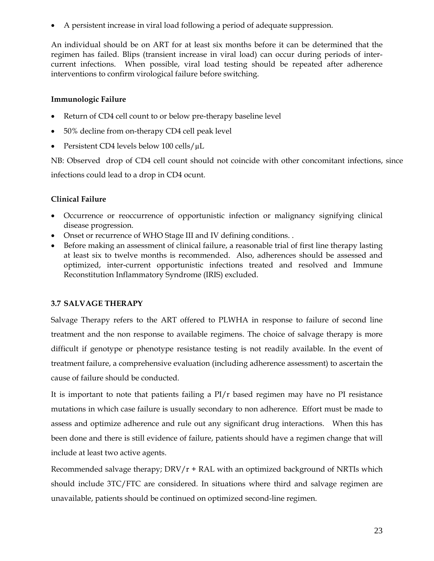• A persistent increase in viral load following a period of adequate suppression.

An individual should be on ART for at least six months before it can be determined that the regimen has failed. Blips (transient increase in viral load) can occur during periods of intercurrent infections. When possible, viral load testing should be repeated after adherence interventions to confirm virological failure before switching.

# **Immunologic Failure**

- Return of CD4 cell count to or below pre-therapy baseline level
- 50% decline from on-therapy CD4 cell peak level
- Persistent CD4 levels below 100 cells/ $\mu$ L

NB: Observed drop of CD4 cell count should not coincide with other concomitant infections, since infections could lead to a drop in CD4 ocunt.

# **Clinical Failure**

- Occurrence or reoccurrence of opportunistic infection or malignancy signifying clinical disease progression.
- Onset or recurrence of WHO Stage III and IV defining conditions. .
- Before making an assessment of clinical failure, a reasonable trial of first line therapy lasting at least six to twelve months is recommended. Also, adherences should be assessed and optimized, inter-current opportunistic infections treated and resolved and Immune Reconstitution Inflammatory Syndrome (IRIS) excluded.

# **3.7 SALVAGE THERAPY**

Salvage Therapy refers to the ART offered to PLWHA in response to failure of second line treatment and the non response to available regimens. The choice of salvage therapy is more difficult if genotype or phenotype resistance testing is not readily available. In the event of treatment failure, a comprehensive evaluation (including adherence assessment) to ascertain the cause of failure should be conducted.

It is important to note that patients failing a PI/r based regimen may have no PI resistance mutations in which case failure is usually secondary to non adherence. Effort must be made to assess and optimize adherence and rule out any significant drug interactions. When this has been done and there is still evidence of failure, patients should have a regimen change that will include at least two active agents.

Recommended salvage therapy;  $DRV/r + RAL$  with an optimized background of NRTIs which should include 3TC/FTC are considered. In situations where third and salvage regimen are unavailable, patients should be continued on optimized second-line regimen.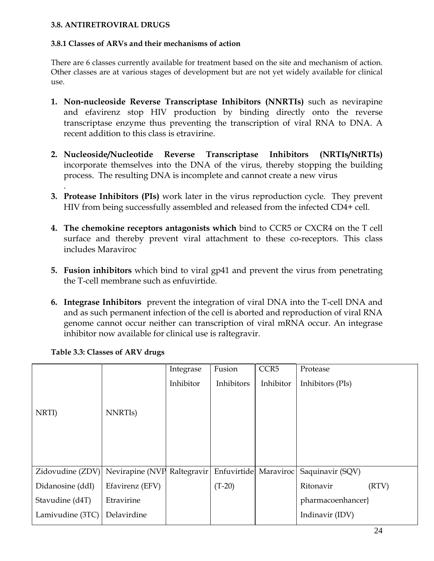# **3.8. ANTIRETROVIRAL DRUGS**

#### **3.8.1 Classes of ARVs and their mechanisms of action**

There are 6 classes currently available for treatment based on the site and mechanism of action. Other classes are at various stages of development but are not yet widely available for clinical use.

- **1. Non-nucleoside Reverse Transcriptase Inhibitors (NNRTIs)** such as nevirapine and efavirenz stop HIV production by binding directly onto the reverse transcriptase enzyme thus preventing the transcription of viral RNA to DNA. A recent addition to this class is etravirine.
- **2. Nucleoside/Nucleotide Reverse Transcriptase Inhibitors (NRTIs/NtRTIs)** incorporate themselves into the DNA of the virus, thereby stopping the building process. The resulting DNA is incomplete and cannot create a new virus
- **3. Protease Inhibitors (PIs)** work later in the virus reproduction cycle. They prevent HIV from being successfully assembled and released from the infected CD4+ cell.
- **4. The chemokine receptors antagonists which** bind to CCR5 or CXCR4 on the T cell surface and thereby prevent viral attachment to these co-receptors. This class includes Maraviroc
- **5. Fusion inhibitors** which bind to viral gp41 and prevent the virus from penetrating the T-cell membrane such as enfuvirtide.
- **6. Integrase Inhibitors** prevent the integration of viral DNA into the T-cell DNA and and as such permanent infection of the cell is aborted and reproduction of viral RNA genome cannot occur neither can transcription of viral mRNA occur. An integrase inhibitor now available for clinical use is raltegravir.

|                  |                      | Integrase   | Fusion                | CCR <sub>5</sub> | Protease           |
|------------------|----------------------|-------------|-----------------------|------------------|--------------------|
|                  |                      | Inhibitor   | Inhibitors            | Inhibitor        | Inhibitors (PIs)   |
|                  |                      |             |                       |                  |                    |
| NRTI)            | NNRTI <sub>s</sub> ) |             |                       |                  |                    |
|                  |                      |             |                       |                  |                    |
|                  |                      |             |                       |                  |                    |
|                  |                      |             |                       |                  |                    |
|                  |                      |             |                       |                  |                    |
| Zidovudine (ZDV) | Nevirapine (NVP      | Raltegravir | Enfuvirtide Maraviroc |                  | Saquinavir (SQV)   |
| Didanosine (ddI) | Efavirenz (EFV)      |             | $(T-20)$              |                  | Ritonavir<br>(RTV) |
| Stavudine (d4T)  | Etravirine           |             |                       |                  | pharmacoenhancer}  |
| Lamivudine (3TC) | Delavirdine          |             |                       |                  | Indinavir (IDV)    |
|                  |                      |             |                       |                  |                    |

# **Table 3.3: Classes of ARV drugs**

.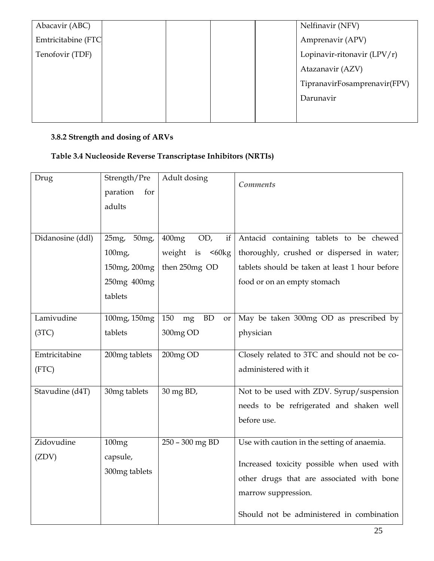| Amprenavir (APV)             |
|------------------------------|
| Lopinavir-ritonavir (LPV/r)  |
| Atazanavir (AZV)             |
| TipranavirFosamprenavir(FPV) |
| Darunavir                    |
|                              |
|                              |

# **3.8.2 Strength and dosing of ARVs**

# **Table 3.4 Nucleoside Reverse Transcriptase Inhibitors (NRTIs)**

| Drug                   | Strength/Pre<br>paration<br>for<br>adults                                   | Adult dosing                                           | <b>Comments</b>                                                                                                                                                                                            |
|------------------------|-----------------------------------------------------------------------------|--------------------------------------------------------|------------------------------------------------------------------------------------------------------------------------------------------------------------------------------------------------------------|
| Didanosine (ddl)       | 25mg<br>50mg<br>100 <sub>mg</sub><br>150mg, 200mg<br>250mg 400mg<br>tablets | OD,<br>400mg<br>if<br>weight is <60kg<br>then 250mg OD | Antacid containing tablets to be chewed<br>thoroughly, crushed or dispersed in water;<br>tablets should be taken at least 1 hour before<br>food or on an empty stomach                                     |
| Lamivudine<br>(3TC)    | 100mg, 150mg<br>tablets                                                     | 150<br><b>BD</b><br>mg<br><b>or</b><br>300mg OD        | May be taken 300mg OD as prescribed by<br>physician                                                                                                                                                        |
| Emtricitabine<br>(FTC) | 200mg tablets                                                               | 200mg OD                                               | Closely related to 3TC and should not be co-<br>administered with it                                                                                                                                       |
| Stavudine (d4T)        | 30mg tablets                                                                | 30 mg BD,                                              | Not to be used with ZDV. Syrup/suspension<br>needs to be refrigerated and shaken well<br>before use.                                                                                                       |
| Zidovudine<br>(ZDV)    | 100mg<br>capsule,<br>300mg tablets                                          | 250 - 300 mg BD                                        | Use with caution in the setting of anaemia.<br>Increased toxicity possible when used with<br>other drugs that are associated with bone<br>marrow suppression.<br>Should not be administered in combination |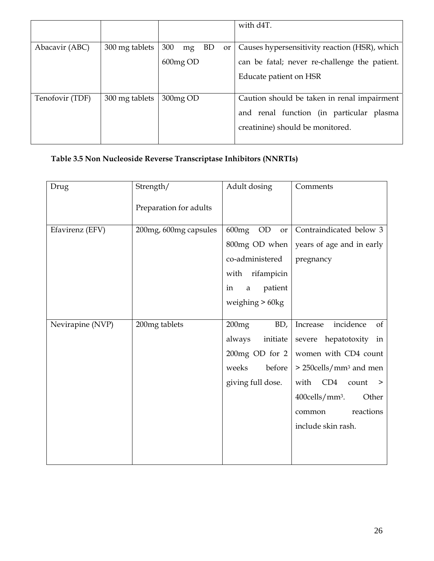|                 |                |                                   | with d4T.                                     |
|-----------------|----------------|-----------------------------------|-----------------------------------------------|
|                 |                |                                   |                                               |
| Abacavir (ABC)  | 300 mg tablets | 300<br>BD.<br>mg<br><sub>or</sub> | Causes hypersensitivity reaction (HSR), which |
|                 |                | 600mg OD                          | can be fatal; never re-challenge the patient. |
|                 |                |                                   | Educate patient on HSR                        |
|                 |                |                                   |                                               |
| Tenofovir (TDF) | 300 mg tablets | 300mg OD                          | Caution should be taken in renal impairment   |
|                 |                |                                   | and renal function (in particular plasma      |
|                 |                |                                   | creatinine) should be monitored.              |
|                 |                |                                   |                                               |

# **Table 3.5 Non Nucleoside Reverse Transcriptase Inhibitors (NNRTIs)**

| Drug             | Strength/              | Adult dosing                   | Comments                                   |
|------------------|------------------------|--------------------------------|--------------------------------------------|
|                  | Preparation for adults |                                |                                            |
| Efavirenz (EFV)  | 200mg, 600mg capsules  | 600mg<br>$\rm OD$<br><b>or</b> | Contraindicated below 3                    |
|                  |                        | 800mg OD when                  | years of age and in early                  |
|                  |                        | co-administered                | pregnancy                                  |
|                  |                        | rifampicin<br>with             |                                            |
|                  |                        | patient<br>in<br>a             |                                            |
|                  |                        | weighing $> 60$ kg             |                                            |
|                  |                        |                                |                                            |
| Nevirapine (NVP) | 200mg tablets          | 200mg<br>BD,                   | incidence<br>of<br>Increase                |
|                  |                        | always<br>initiate             | severe hepatotoxity<br>in                  |
|                  |                        |                                | 200mg OD for $2 \mid$ women with CD4 count |
|                  |                        | before<br>weeks                | $>$ 250cells/mm <sup>3</sup> and men       |
|                  |                        | giving full dose.              | with<br>CD4<br>count<br>$\geq$             |
|                  |                        |                                | $400$ cells/mm <sup>3</sup> .<br>Other     |
|                  |                        |                                | reactions<br>common                        |
|                  |                        |                                | include skin rash.                         |
|                  |                        |                                |                                            |
|                  |                        |                                |                                            |
|                  |                        |                                |                                            |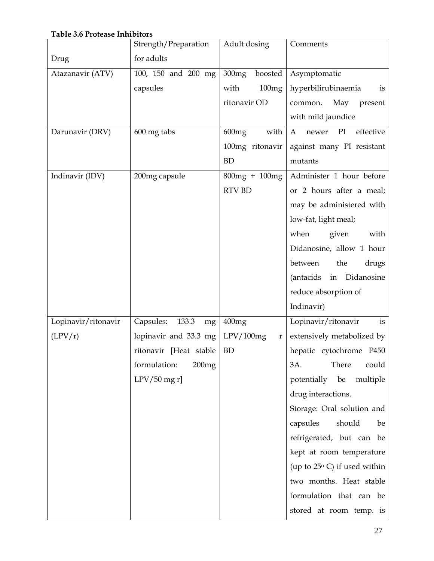# **Table 3.6 Protease Inhibitors**

|                     | Strength/Preparation     | Adult dosing             | Comments                              |
|---------------------|--------------------------|--------------------------|---------------------------------------|
| Drug                | for adults               |                          |                                       |
| Atazanavir (ATV)    | 100, 150 and 200 mg      | 300mg<br>boosted         | Asymptomatic                          |
|                     | capsules                 | 100mg<br>with            | hyperbilirubinaemia<br>is             |
|                     |                          | ritonavir OD             | May<br>present<br>common.             |
|                     |                          |                          | with mild jaundice                    |
| Darunavir (DRV)     | 600 mg tabs              | with<br>$600$ mg         | effective<br>PI<br>A<br>newer         |
|                     |                          | 100mg ritonavir          | against many PI resistant             |
|                     |                          | <b>BD</b>                | mutants                               |
| Indinavir (IDV)     | 200mg capsule            | $800mg + 100mg$          | Administer 1 hour before              |
|                     |                          | <b>RTV BD</b>            | or 2 hours after a meal;              |
|                     |                          |                          | may be administered with              |
|                     |                          |                          | low-fat, light meal;                  |
|                     |                          |                          | when<br>given<br>with                 |
|                     |                          |                          | Didanosine, allow 1 hour              |
|                     |                          |                          | between<br>the<br>drugs               |
|                     |                          |                          | (antacids<br>in Didanosine            |
|                     |                          |                          | reduce absorption of                  |
|                     |                          |                          | Indinavir)                            |
| Lopinavir/ritonavir | 133.3<br>Capsules:<br>mg | 400mg                    | Lopinavir/ritonavir<br>is             |
| (LPV/r)             | lopinavir and 33.3 mg    | LPV/100mg<br>$\mathbf r$ | extensively metabolized by            |
|                     | ritonavir [Heat stable   | <b>BD</b>                | hepatic cytochrome P450               |
|                     | formulation:<br>200mg    |                          | There<br>3A.<br>could                 |
|                     | $LPV/50$ mg r]           |                          | potentially be<br>multiple            |
|                     |                          |                          | drug interactions.                    |
|                     |                          |                          | Storage: Oral solution and            |
|                     |                          |                          | capsules<br>should<br>be              |
|                     |                          |                          | refrigerated, but can be              |
|                     |                          |                          | kept at room temperature              |
|                     |                          |                          | (up to $25^{\circ}$ C) if used within |
|                     |                          |                          | two months. Heat stable               |
|                     |                          |                          | formulation that can be               |
|                     |                          |                          | stored at room temp. is               |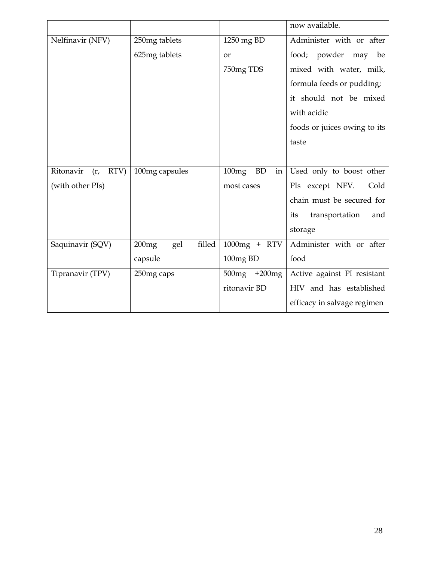|                       |                        |                          | now available.               |
|-----------------------|------------------------|--------------------------|------------------------------|
| Nelfinavir (NFV)      | 250mg tablets          | 1250 mg BD               | Administer with or after     |
|                       | 625mg tablets          | or                       | food; powder may be          |
|                       |                        | 750mg TDS                | mixed with water, milk,      |
|                       |                        |                          | formula feeds or pudding;    |
|                       |                        |                          | it should not be mixed       |
|                       |                        |                          | with acidic                  |
|                       |                        |                          | foods or juices owing to its |
|                       |                        |                          | taste                        |
|                       |                        |                          |                              |
| Ritonavir<br>(r, RTV) | 100mg capsules         | <b>BD</b><br>100mg<br>in | Used only to boost other     |
| (with other PIs)      |                        | most cases               | PIs except NFV.<br>Cold      |
|                       |                        |                          | chain must be secured for    |
|                       |                        |                          | transportation<br>its<br>and |
|                       |                        |                          | storage                      |
| Saquinavir (SQV)      | filled<br>200mg<br>gel | 1000mg + RTV             | Administer with or after     |
|                       | capsule                | 100mg BD                 | food                         |
| Tipranavir (TPV)      | 250mg caps             | 500mg +200mg             | Active against PI resistant  |
|                       |                        | ritonavir BD             | HIV and has established      |
|                       |                        |                          | efficacy in salvage regimen  |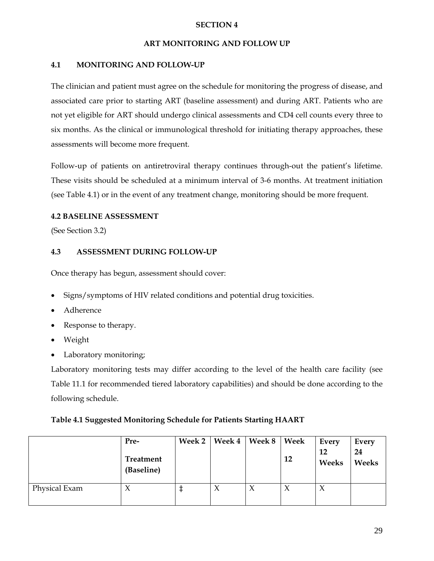## **SECTION 4**

## **ART MONITORING AND FOLLOW UP**

## **4.1 MONITORING AND FOLLOW-UP**

The clinician and patient must agree on the schedule for monitoring the progress of disease, and associated care prior to starting ART (baseline assessment) and during ART. Patients who are not yet eligible for ART should undergo clinical assessments and CD4 cell counts every three to six months. As the clinical or immunological threshold for initiating therapy approaches, these assessments will become more frequent.

Follow-up of patients on antiretroviral therapy continues through-out the patient's lifetime. These visits should be scheduled at a minimum interval of 3-6 months. At treatment initiation (see Table 4.1) or in the event of any treatment change, monitoring should be more frequent.

# **4.2 BASELINE ASSESSMENT**

(See Section 3.2)

# **4.3 ASSESSMENT DURING FOLLOW-UP**

Once therapy has begun, assessment should cover:

- Signs/symptoms of HIV related conditions and potential drug toxicities.
- Adherence
- Response to therapy.
- Weight
- Laboratory monitoring;

Laboratory monitoring tests may differ according to the level of the health care facility (see Table 11.1 for recommended tiered laboratory capabilities) and should be done according to the following schedule.

#### **Table 4.1 Suggested Monitoring Schedule for Patients Starting HAART**

|               | Pre-<br>Treatment<br>(Baseline) | <b>Week 2</b> | <b>Week 4</b> | Week 8    | Week<br>12 | Every<br>12<br>Weeks | Every<br>24<br>Weeks |
|---------------|---------------------------------|---------------|---------------|-----------|------------|----------------------|----------------------|
| Physical Exam | $\Lambda$                       |               | $\chi$        | $\lambda$ | $\chi$     | $\chi$               |                      |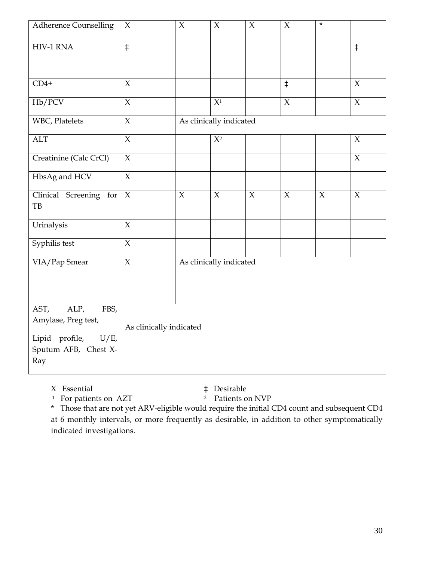| <b>Adherence Counselling</b>                                                                            | $\chi$                  | $\chi$              | $\chi$                  | $\chi$      | $\mathsf X$    | $\star$ |                     |
|---------------------------------------------------------------------------------------------------------|-------------------------|---------------------|-------------------------|-------------|----------------|---------|---------------------|
| HIV-1 RNA                                                                                               | $\ddagger$              |                     |                         |             |                |         | $\ddagger$          |
| $CD4+$                                                                                                  | $\overline{X}$          |                     |                         |             | $\overline{+}$ |         | $\chi$              |
| Hb/PCV                                                                                                  | $\mathsf X$             |                     | $\overline{X^1}$        |             | $\overline{X}$ |         | $\mathsf X$         |
| WBC, Platelets                                                                                          | $\overline{X}$          |                     | As clinically indicated |             |                |         |                     |
| <b>ALT</b>                                                                                              | $\chi$                  |                     | $X^2$                   |             |                |         | $\mathsf X$         |
| Creatinine (Calc CrCl)                                                                                  | $\overline{X}$          |                     |                         |             |                |         | $\mathsf X$         |
| HbsAg and HCV                                                                                           | $\mathsf X$             |                     |                         |             |                |         |                     |
| Clinical Screening for<br>TB                                                                            | $\chi$                  | $\boldsymbol{\chi}$ | $\chi$                  | $\mathsf X$ | $\mathsf X$    | $\chi$  | $\boldsymbol{\chi}$ |
| Urinalysis                                                                                              | $\chi$                  |                     |                         |             |                |         |                     |
| Syphilis test                                                                                           | $\overline{X}$          |                     |                         |             |                |         |                     |
| VIA/Pap Smear                                                                                           | $\overline{X}$          |                     | As clinically indicated |             |                |         |                     |
| AST,<br>ALP,<br>FBS,<br>Amylase, Preg test,<br>Lipid profile,<br>$U/E$ ,<br>Sputum AFB, Chest X-<br>Ray | As clinically indicated |                     |                         |             |                |         |                     |

X Essential  $\qquad$   $\qquad$   $\qquad$   $\qquad$   $\qquad$   $\qquad$   $\qquad$   $\qquad$   $\qquad$   $\qquad$   $\qquad$   $\qquad$   $\qquad$   $\qquad$   $\qquad$   $\qquad$   $\qquad$   $\qquad$   $\qquad$   $\qquad$   $\qquad$   $\qquad$   $\qquad$   $\qquad$   $\qquad$   $\qquad$   $\qquad$   $\qquad$   $\qquad$   $\qquad$   $\qquad$   $\qquad$   $\qquad$   $\qquad$   $\qquad$   $1$  For patients on AZT

\* Those that are not yet ARV-eligible would require the initial CD4 count and subsequent CD4 at 6 monthly intervals, or more frequently as desirable, in addition to other symptomatically indicated investigations.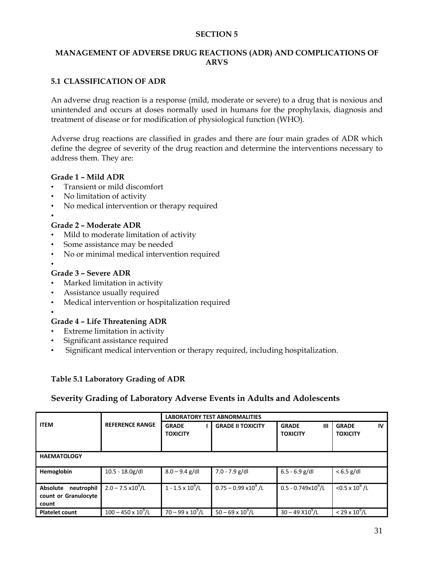#### **SECTION 5**

## **MANAGEMENT OF ADVERSE DRUG REACTIONS (ADR) AND COMPLICATIONS OF ARVS**

# **5.1 CLASSIFICATION OF ADR**

An adverse drug reaction is a response (mild, moderate or severe) to a drug that is noxious and unintended and occurs at doses normally used in humans for the prophylaxis, diagnosis and treatment of disease or for modification of physiological function (WHO).

Adverse drug reactions are classified in grades and there are four main grades of ADR which define the degree of severity of the drug reaction and determine the interventions necessary to address them. They are:

#### **Grade 1 – Mild ADR**

- Transient or mild discomfort
- No limitation of activity
- No medical intervention or therapy required
- •

# **Grade 2 – Moderate ADR**

- Mild to moderate limitation of activity
- Some assistance may be needed
- No or minimal medical intervention required
- •

#### **Grade 3 – Severe ADR**

- Marked limitation in activity
- Assistance usually required
- Medical intervention or hospitalization required
- •

#### **Grade 4 – Life Threatening ADR**

- Extreme limitation in activity
- Significant assistance required
- Significant medical intervention or therapy required, including hospitalization.

#### **Table 5.1 Laboratory Grading of ADR**

#### **Severity Grading of Laboratory Adverse Events in Adults and Adolescents**

|                                                         |                              | <b>LABORATORY TEST ABNORMALITIES</b> |                              |                                      |                                        |
|---------------------------------------------------------|------------------------------|--------------------------------------|------------------------------|--------------------------------------|----------------------------------------|
| <b>ITEM</b>                                             | <b>REFERENCE RANGE</b>       | <b>GRADE</b><br><b>TOXICITY</b>      | <b>GRADE II TOXICITY</b>     | <b>GRADE</b><br>Ш<br><b>TOXICITY</b> | <b>GRADE</b><br>IV.<br><b>TOXICITY</b> |
| <b>HAEMATOLOGY</b>                                      |                              |                                      |                              |                                      |                                        |
| Hemoglobin                                              | $10.5 - 18.0g/dl$            | $8.0 - 9.4$ g/dl                     | $7.0 - 7.9$ g/dl             | $6.5 - 6.9$ g/dl                     | $< 6.5$ g/dl                           |
| neutrophil<br>Absolute<br>count or Granulocyte<br>count | $2.0 - 7.5 \times 10^9$ /L   | $1 - 1.5 \times 10^9$ /L             | $0.75 - 0.99 \times 10^9$ /L | $0.5 - 0.749 \times 10^9$ /L         | $<$ 0.5 x 10 <sup>9</sup> /L           |
| <b>Platelet count</b>                                   | $100 - 450 \times 10^{9}$ /L | $70 - 99 \times 10^{9}$ /L           | $50 - 69 \times 10^{9}$ /L   | $30 - 49 X10^{9}$ /L                 | $< 29 \times 10^{9}$ /L                |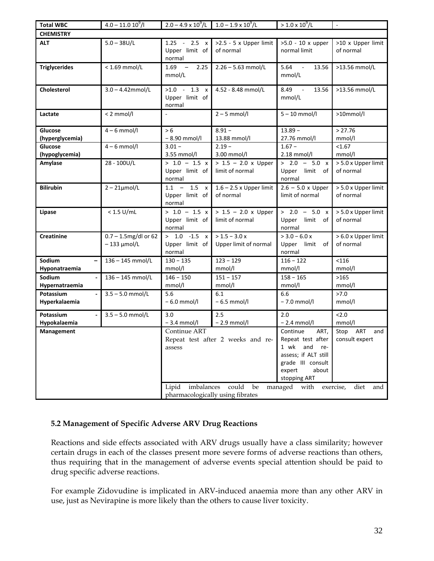| <b>Total WBC</b>           | $4.0 - 11.0 10^{9}$ /l                   | $2.0 - 4.9 \times 10^{9}$ /L $1.0 - 1.9 \times 10^{9}$ /L |                                                  | $> 1.0 \times 10^{9}/L$                                                                                                                                     | $\overline{\phantom{a}}$                                         |
|----------------------------|------------------------------------------|-----------------------------------------------------------|--------------------------------------------------|-------------------------------------------------------------------------------------------------------------------------------------------------------------|------------------------------------------------------------------|
| <b>CHEMISTRY</b>           |                                          |                                                           |                                                  |                                                                                                                                                             |                                                                  |
| <b>ALT</b>                 | $5.0 - 38U/L$                            | $1.25 - 2.5 x$<br>Upper limit of<br>normal                | >2.5 - 5 x Upper limit<br>of normal              | >5.0 - 10 x upper<br>normal limit                                                                                                                           | >10 x Upper limit<br>of normal                                   |
| <b>Triglycerides</b>       | $< 1.69$ mmol/L                          | $1.69 -$<br>2.25<br>mmol/L                                | $2.26 - 5.63$ mmol/L                             | 5.64<br>13.56<br>$\sim$ $-$<br>mmol/L                                                                                                                       | >13.56 mmol/L                                                    |
| <b>Cholesterol</b>         | $3.0 - 4.42$ mmol/L                      | $>1.0$ - 1.3 x<br>Upper limit of<br>normal                | 4.52 - 8.48 mmol/L                               | 8.49<br>13.56<br>$\sim 10$<br>mmol/L                                                                                                                        | >13.56 mmol/L                                                    |
| Lactate                    | $< 2$ mmol/l                             | $\omega$                                                  | $2 - 5$ mmol/l                                   | $5 - 10$ mmol/l                                                                                                                                             | >10mmol/l                                                        |
| Glucose<br>(hyperglycemia) | $4 - 6$ mmol/l                           | > 6<br>$-8.90$ mmol/l                                     | $8.91 -$<br>13.88 mmol/l                         | $13.89 -$<br>27.76 mmol/l                                                                                                                                   | > 27.76<br>mmol/l                                                |
| Glucose<br>(hypoglycemia)  | $4 - 6$ mmol/l                           | $3.01 -$<br>3.55 mmol/l                                   | $2.19 -$<br>3.00 mmol/l                          | $1.67 -$<br>2.18 mmol/l                                                                                                                                     | < 1.67<br>mmol/l                                                 |
| Amylase                    | 28 - 100U/L                              | $> 1.0 - 1.5 x$<br>Upper limit of<br>normal               | $> 1.5 - 2.0$ x Upper<br>limit of normal         | $> 2.0 - 5.0 x$<br>Upper<br>limit<br>of<br>normal                                                                                                           | > 5.0 x Upper limit<br>of normal                                 |
| <b>Bilirubin</b>           | $2 - 21$ µmol/L                          | $1.1 - 1.5 x$<br>Upper limit of<br>normal                 | $1.6 - 2.5$ x Upper limit<br>of normal           | $2.6 - 5.0 \times \text{Upper}$<br>limit of normal                                                                                                          | > 5.0 x Upper limit<br>of normal                                 |
| Lipase                     | $< 1.5$ U/mL                             | $> 1.0 - 1.5 x$<br>Upper limit of<br>normal               | $> 1.5 - 2.0$ x Upper<br>limit of normal         | $> 2.0 - 5.0 x$<br>Upper<br>limit<br>of<br>normal                                                                                                           | > 5.0 x Upper limit<br>of normal                                 |
| <b>Creatinine</b>          | $0.7 - 1.5$ mg/dl or 62<br>$-133$ µmol/L | $> 1.0 -1.5 x$<br>Upper limit of<br>normal                | $> 1.5 - 3.0 x$<br>Upper limit of normal         | $>$ 3.0 – 6.0 x<br>Upper<br>limit<br>of<br>normal                                                                                                           | > 6.0 x Upper limit<br>of normal                                 |
| Sodium<br>Hyponatraemia    | 136-145 mmol/L                           | $130 - 135$<br>mmol/l                                     | $123 - 129$<br>mmol/l                            | $116 - 122$<br>mmol/l                                                                                                                                       | < 116<br>mmol/l                                                  |
| Sodium<br>Hypernatraemia   | 136-145 mmol/L                           | $146 - 150$<br>mmol/l                                     | $151 - 157$<br>mmol/l                            | $158 - 165$<br>mmol/l                                                                                                                                       | >165<br>mmol/l                                                   |
| Potassium<br>Hyperkalaemia | $3.5 - 5.0$ mmol/L                       | 5.6<br>$-6.0$ mmol/l                                      | 6.1<br>$-6.5$ mmol/l                             | 6.6<br>$-7.0$ mmol/l                                                                                                                                        | >7.0<br>mmol/l                                                   |
| Potassium<br>Hypokalaemia  | $3.5 - 5.0$ mmol/L                       | 3.0<br>$-3.4$ mmol/l                                      | 2.5<br>$-2.9$ mmol/l                             | 2.0<br>$-2.4$ mmol/l                                                                                                                                        | 2.0<br>mmol/l                                                    |
| Management                 |                                          | Continue ART<br>assess<br>Lipid<br>imbalances             | Repeat test after 2 weeks and re-<br>could<br>be | Continue<br>ART,<br>Repeat test after<br>1 wk<br>and<br>re-<br>assess; if ALT still<br>grade III consult<br>about<br>expert<br>stopping ART<br>managed with | Stop<br>ART<br>and<br>consult expert<br>diet<br>exercise,<br>and |
|                            |                                          | pharmacologically using fibrates                          |                                                  |                                                                                                                                                             |                                                                  |

# **5.2 Management of Specific Adverse ARV Drug Reactions**

Reactions and side effects associated with ARV drugs usually have a class similarity; however certain drugs in each of the classes present more severe forms of adverse reactions than others, thus requiring that in the management of adverse events special attention should be paid to drug specific adverse reactions.

For example Zidovudine is implicated in ARV-induced anaemia more than any other ARV in use, just as Nevirapine is more likely than the others to cause liver toxicity.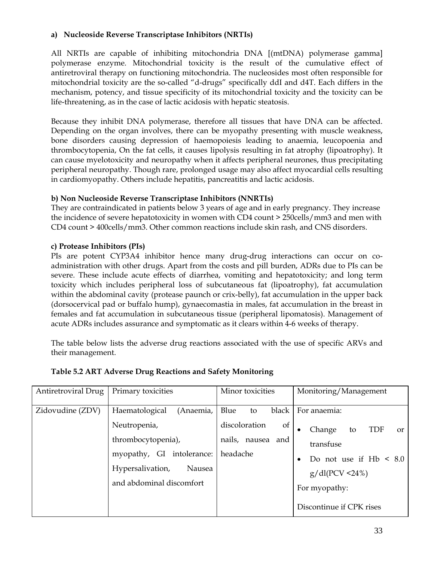# **a) Nucleoside Reverse Transcriptase Inhibitors (NRTIs)**

All NRTIs are capable of inhibiting mitochondria DNA [(mtDNA) polymerase gamma] polymerase enzyme. Mitochondrial toxicity is the result of the cumulative effect of antiretroviral therapy on functioning mitochondria. The nucleosides most often responsible for mitochondrial toxicity are the so-called "d-drugs" specifically ddI and d4T. Each differs in the mechanism, potency, and tissue specificity of its mitochondrial toxicity and the toxicity can be life-threatening, as in the case of lactic acidosis with hepatic steatosis.

Because they inhibit DNA polymerase, therefore all tissues that have DNA can be affected. Depending on the organ involves, there can be myopathy presenting with muscle weakness, bone disorders causing depression of haemopoiesis leading to anaemia, leucopoenia and thrombocytopenia, On the fat cells, it causes lipolysis resulting in fat atrophy (lipoatrophy). It can cause myelotoxicity and neuropathy when it affects peripheral neurones, thus precipitating peripheral neuropathy. Though rare, prolonged usage may also affect myocardial cells resulting in cardiomyopathy. Others include hepatitis, pancreatitis and lactic acidosis.

# **b) Non Nucleoside Reverse Transcriptase Inhibitors (NNRTIs)**

They are contraindicated in patients below 3 years of age and in early pregnancy. They increase the incidence of severe hepatotoxicity in women with CD4 count > 250cells/mm3 and men with CD4 count > 400cells/mm3. Other common reactions include skin rash, and CNS disorders.

# **c) Protease Inhibitors (PIs)**

PIs are potent CYP3A4 inhibitor hence many drug-drug interactions can occur on coadministration with other drugs. Apart from the costs and pill burden, ADRs due to PIs can be severe. These include acute effects of diarrhea, vomiting and hepatotoxicity; and long term toxicity which includes peripheral loss of subcutaneous fat (lipoatrophy), fat accumulation within the abdominal cavity (protease paunch or crix-belly), fat accumulation in the upper back (dorsocervical pad or buffalo hump), gynaecomastia in males, fat accumulation in the breast in females and fat accumulation in subcutaneous tissue (peripheral lipomatosis). Management of acute ADRs includes assurance and symptomatic as it clears within 4-6 weeks of therapy.

The table below lists the adverse drug reactions associated with the use of specific ARVs and their management.

| Antiretroviral Drug | Primary toxicities                                                                                                                                       | Minor toxicities                                                                          | Monitoring/Management                                                                                                                            |
|---------------------|----------------------------------------------------------------------------------------------------------------------------------------------------------|-------------------------------------------------------------------------------------------|--------------------------------------------------------------------------------------------------------------------------------------------------|
| Zidovudine (ZDV)    | Haematological<br>(Anaemia,<br>Neutropenia,<br>thrombocytopenia),<br>myopathy, GI intolerance:<br>Hypersalivation,<br>Nausea<br>and abdominal discomfort | Blue<br>black<br>to<br>discoloration<br><sub>of</sub><br>nails, nausea<br>and<br>headache | For anaemia:<br><b>TDF</b><br>Change<br>to<br>or<br>$\bullet$<br>transfuse<br>Do not use if $Hb \leq 8.0$<br>$g/dl(PCV < 24\%)$<br>For myopathy: |
|                     |                                                                                                                                                          |                                                                                           | Discontinue if CPK rises                                                                                                                         |

#### **Table 5.2 ART Adverse Drug Reactions and Safety Monitoring**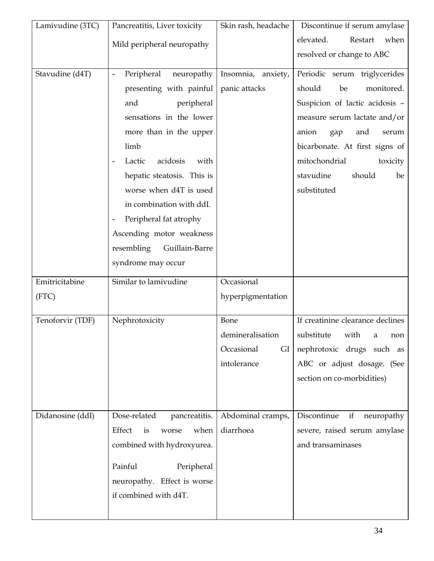| Lamivudine (3TC) | Pancreatitis, Liver toxicity               | Skin rash, headache | Discontinue if serum amylase     |
|------------------|--------------------------------------------|---------------------|----------------------------------|
|                  | Mild peripheral neuropathy                 |                     | elevated.<br>when<br>Restart     |
|                  |                                            |                     | resolved or change to ABC        |
| Stavudine (d4T)  | Peripheral<br>neuropathy<br>$\blacksquare$ | Insomnia, anxiety,  | Periodic serum triglycerides     |
|                  | presenting with painful                    | panic attacks       | should<br>be<br>monitored.       |
|                  | and<br>peripheral                          |                     | Suspicion of lactic acidosis -   |
|                  | sensations in the lower                    |                     | measure serum lactate and/or     |
|                  | more than in the upper                     |                     | anion<br>and<br>serum<br>gap     |
|                  | limb                                       |                     | bicarbonate. At first signs of   |
|                  | acidosis<br>Lactic<br>with                 |                     | mitochondrial<br>toxicity        |
|                  | hepatic steatosis. This is                 |                     | stavudine<br>should<br>be        |
|                  | worse when d4T is used                     |                     | substituted                      |
|                  | in combination with ddI.                   |                     |                                  |
|                  | Peripheral fat atrophy                     |                     |                                  |
|                  | Ascending motor weakness                   |                     |                                  |
|                  | resembling<br>Guillain-Barre               |                     |                                  |
|                  | syndrome may occur                         |                     |                                  |
| Emitricitabine   | Similar to lamivudine                      | Occasional          |                                  |
| (FTC)            |                                            | hyperpigmentation   |                                  |
|                  |                                            |                     |                                  |
| Tenoforvir (TDF) | Nephrotoxicity                             | Bone                | If creatinine clearance declines |
|                  |                                            | demineralisation    | substitute with a non            |
|                  |                                            | Occasional<br>GI    | nephrotoxic drugs such as        |
|                  |                                            | intolerance         | ABC or adjust dosage. (See       |
|                  |                                            |                     | section on co-morbidities)       |
|                  |                                            |                     |                                  |
| Didanosine (ddI) | Dose-related<br>pancreatitis.              | Abdominal cramps,   | Discontinue<br>if<br>neuropathy  |
|                  | Effect<br>when<br>is<br>worse              | diarrhoea           | severe, raised serum amylase     |
|                  | combined with hydroxyurea.                 |                     | and transaminases                |
|                  |                                            |                     |                                  |
|                  | Painful<br>Peripheral                      |                     |                                  |
|                  | neuropathy. Effect is worse                |                     |                                  |
|                  | if combined with d4T.                      |                     |                                  |
|                  |                                            |                     |                                  |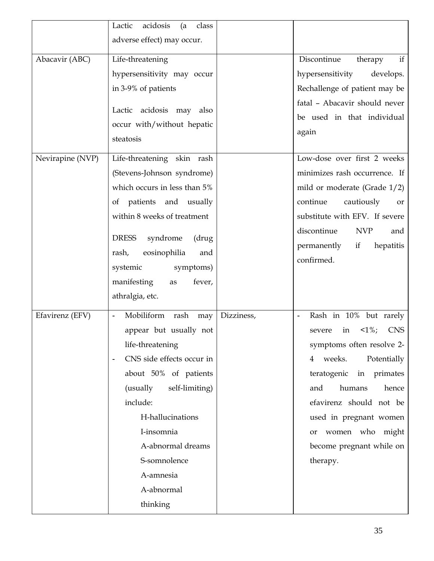|                  | acidosis<br>Lactic<br>class<br>(a                                   |            |                                                                      |
|------------------|---------------------------------------------------------------------|------------|----------------------------------------------------------------------|
|                  | adverse effect) may occur.                                          |            |                                                                      |
|                  |                                                                     |            |                                                                      |
| Abacavir (ABC)   | Life-threatening                                                    |            | Discontinue<br>if<br>therapy                                         |
|                  | hypersensitivity may occur                                          |            | hypersensitivity<br>develops.                                        |
|                  | in 3-9% of patients                                                 |            | Rechallenge of patient may be                                        |
|                  | Lactic acidosis may also<br>occur with/without hepatic<br>steatosis |            | fatal - Abacavir should never<br>be used in that individual<br>again |
| Nevirapine (NVP) | Life-threatening skin rash                                          |            | Low-dose over first 2 weeks                                          |
|                  | (Stevens-Johnson syndrome)                                          |            | minimizes rash occurrence. If                                        |
|                  | which occurs in less than 5%                                        |            | mild or moderate (Grade $1/2$ )                                      |
|                  | of patients and usually                                             |            | continue<br>cautiously<br>or                                         |
|                  | within 8 weeks of treatment                                         |            | substitute with EFV. If severe                                       |
|                  |                                                                     |            | discontinue<br><b>NVP</b><br>and                                     |
|                  | <b>DRESS</b><br>syndrome<br>(drug                                   |            | permanently<br>hepatitis<br>if                                       |
|                  | rash,<br>eosinophilia<br>and                                        |            | confirmed.                                                           |
|                  | symptoms)<br>systemic                                               |            |                                                                      |
|                  | manifesting<br>fever,<br>as                                         |            |                                                                      |
|                  | athralgia, etc.                                                     |            |                                                                      |
| Efavirenz (EFV)  | Mobiliform<br>rash<br>may<br>$\blacksquare$                         | Dizziness, | Rash in 10% but rarely                                               |
|                  | appear but usually not                                              |            | $1\%;$<br><b>CNS</b><br>in<br>severe                                 |
|                  | life-threatening                                                    |            | symptoms often resolve 2-                                            |
|                  | CNS side effects occur in<br>$\blacksquare$                         |            | weeks.<br>Potentially<br>4                                           |
|                  | about 50% of patients                                               |            | teratogenic in primates                                              |
|                  | (usually<br>self-limiting)                                          |            | humans<br>and<br>hence                                               |
|                  | include:                                                            |            | efavirenz should not be                                              |
|                  | H-hallucinations                                                    |            | used in pregnant women                                               |
|                  | I-insomnia                                                          |            | women who might<br>or                                                |
|                  | A-abnormal dreams                                                   |            | become pregnant while on                                             |
|                  | S-somnolence                                                        |            | therapy.                                                             |
|                  | A-amnesia                                                           |            |                                                                      |
|                  | A-abnormal                                                          |            |                                                                      |
|                  | thinking                                                            |            |                                                                      |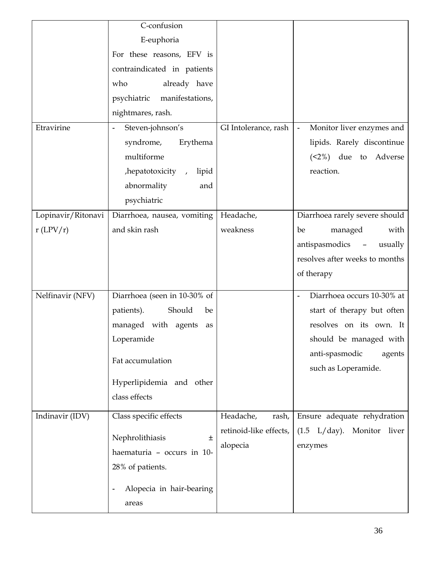|                    | C-confusion                                |                        |                                             |
|--------------------|--------------------------------------------|------------------------|---------------------------------------------|
|                    | E-euphoria                                 |                        |                                             |
|                    | For these reasons, EFV is                  |                        |                                             |
|                    | contraindicated in patients                |                        |                                             |
|                    | already have<br>who                        |                        |                                             |
|                    | psychiatric manifestations,                |                        |                                             |
|                    | nightmares, rash.                          |                        |                                             |
| Etravirine         | Steven-johnson's                           | GI Intolerance, rash   | Monitor liver enzymes and<br>$\blacksquare$ |
|                    | syndrome,<br>Erythema                      |                        | lipids. Rarely discontinue                  |
|                    | multiforme                                 |                        | $(2%)$ due to Adverse                       |
|                    | , hepatotoxicity,<br>lipid                 |                        | reaction.                                   |
|                    | abnormality<br>and                         |                        |                                             |
|                    | psychiatric                                |                        |                                             |
| Lopinavir/Ritonavi | Diarrhoea, nausea, vomiting                | Headache,              | Diarrhoea rarely severe should              |
| $r$ (LPV/r)        | and skin rash                              | weakness               | managed<br>with<br>be                       |
|                    |                                            |                        | antispasmodics<br>usually<br>$\sim$ $-$     |
|                    |                                            |                        | resolves after weeks to months              |
|                    |                                            |                        | of therapy                                  |
| Nelfinavir (NFV)   | Diarrhoea (seen in 10-30% of               |                        | Diarrhoea occurs 10-30% at                  |
|                    | Should<br>patients).<br>be                 |                        | start of therapy but often                  |
|                    | managed with agents<br>as                  |                        | resolves on its own. It                     |
|                    | Loperamide                                 |                        | should be managed with                      |
|                    |                                            |                        | anti-spasmodic<br>agents                    |
|                    | Fat accumulation                           |                        | such as Loperamide.                         |
|                    | Hyperlipidemia and other                   |                        |                                             |
|                    | class effects                              |                        |                                             |
| Indinavir (IDV)    | Class specific effects                     | Headache,<br>rash,     | Ensure adequate rehydration                 |
|                    |                                            | retinoid-like effects, | $(1.5 \text{ L/day})$ . Monitor liver       |
|                    | Nephrolithiasis<br>$\pm$                   | alopecia               | enzymes                                     |
|                    | haematuria - occurs in 10-                 |                        |                                             |
|                    | 28% of patients.                           |                        |                                             |
|                    | Alopecia in hair-bearing<br>$\blacksquare$ |                        |                                             |
|                    | areas                                      |                        |                                             |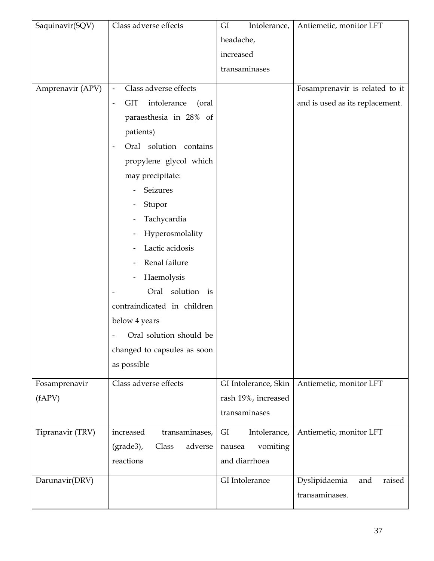| Saquinavir(SQV)  | Class adverse effects                              | GI<br>Intolerance,   | Antiemetic, monitor LFT         |
|------------------|----------------------------------------------------|----------------------|---------------------------------|
|                  |                                                    | headache,            |                                 |
|                  |                                                    | increased            |                                 |
|                  |                                                    | transaminases        |                                 |
| Amprenavir (APV) | Class adverse effects<br>$\overline{\phantom{a}}$  |                      | Fosamprenavir is related to it  |
|                  | <b>GIT</b><br>intolerance<br>(oral)                |                      | and is used as its replacement. |
|                  | paraesthesia in 28% of                             |                      |                                 |
|                  | patients)                                          |                      |                                 |
|                  | Oral solution contains<br>$\overline{\phantom{a}}$ |                      |                                 |
|                  | propylene glycol which                             |                      |                                 |
|                  | may precipitate:                                   |                      |                                 |
|                  | Seizures                                           |                      |                                 |
|                  | Stupor                                             |                      |                                 |
|                  | Tachycardia                                        |                      |                                 |
|                  | Hyperosmolality                                    |                      |                                 |
|                  | Lactic acidosis                                    |                      |                                 |
|                  | Renal failure                                      |                      |                                 |
|                  | Haemolysis<br>-                                    |                      |                                 |
|                  | Oral solution is                                   |                      |                                 |
|                  | contraindicated in children                        |                      |                                 |
|                  | below 4 years                                      |                      |                                 |
|                  | Oral solution should be                            |                      |                                 |
|                  | changed to capsules as soon                        |                      |                                 |
|                  | as possible                                        |                      |                                 |
| Fosamprenavir    | Class adverse effects                              | GI Intolerance, Skin | Antiemetic, monitor LFT         |
| (fAPV)           |                                                    | rash 19%, increased  |                                 |
|                  |                                                    | transaminases        |                                 |
| Tipranavir (TRV) | increased<br>transaminases,                        | GI<br>Intolerance,   | Antiemetic, monitor LFT         |
|                  | $grade3$ ),<br>adverse<br>Class                    | vomiting<br>nausea   |                                 |
|                  | reactions                                          | and diarrhoea        |                                 |
|                  |                                                    |                      |                                 |
| Darunavir(DRV)   |                                                    | GI Intolerance       | Dyslipidaemia<br>raised<br>and  |
|                  |                                                    |                      | transaminases.                  |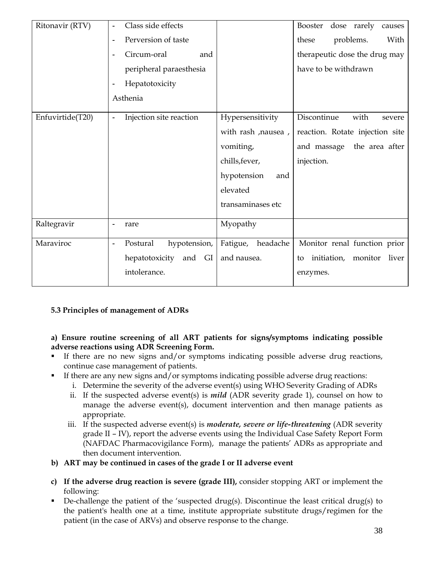| Ritonavir (RTV)  | Class side effects<br>۰                    |                     | Booster<br>dose rarely<br>causes   |
|------------------|--------------------------------------------|---------------------|------------------------------------|
|                  | Perversion of taste                        |                     | these<br>problems.<br>With         |
|                  | Circum-oral<br>and<br>$\blacksquare$       |                     | therapeutic dose the drug may      |
|                  | peripheral paraesthesia                    |                     | have to be withdrawn               |
|                  | Hepatotoxicity<br>$\blacksquare$           |                     |                                    |
|                  | Asthenia                                   |                     |                                    |
| Enfuvirtide(T20) | Injection site reaction<br>$\blacksquare$  | Hypersensitivity    | Discontinue<br>with<br>severe      |
|                  |                                            | with rash , nausea, | reaction. Rotate injection site    |
|                  |                                            | vomiting,           | and massage the area after         |
|                  |                                            | chills, fever,      | injection.                         |
|                  |                                            | hypotension<br>and  |                                    |
|                  |                                            | elevated            |                                    |
|                  |                                            | transaminases etc   |                                    |
| Raltegravir      | rare<br>$\blacksquare$                     | Myopathy            |                                    |
| Maraviroc        | Postural<br>hypotension,<br>$\blacksquare$ | Fatigue, headache   | Monitor renal function prior       |
|                  | hepatotoxicity and<br>GI                   | and nausea.         | initiation, monitor<br>liver<br>to |
|                  | intolerance.                               |                     | enzymes.                           |
|                  |                                            |                     |                                    |

# **5.3 Principles of management of ADRs**

**a) Ensure routine screening of all ART patients for signs/symptoms indicating possible adverse reactions using ADR Screening Form.** 

- If there are no new signs and/or symptoms indicating possible adverse drug reactions, continue case management of patients.
- If there are any new signs and/or symptoms indicating possible adverse drug reactions:
	- i. Determine the severity of the adverse event(s) using WHO Severity Grading of ADRs
	- ii. If the suspected adverse event(s) is *mild* (ADR severity grade 1), counsel on how to manage the adverse event(s), document intervention and then manage patients as appropriate.
	- iii. If the suspected adverse event(s) is *moderate, severe or life-threatening* (ADR severity grade II – IV), report the adverse events using the Individual Case Safety Report Form (NAFDAC Pharmacovigilance Form), manage the patients' ADRs as appropriate and then document intervention.
- **b) ART may be continued in cases of the grade I or II adverse event**
- **c) If the adverse drug reaction is severe (grade III),** consider stopping ART or implement the following:
- De-challenge the patient of the 'suspected drug(s). Discontinue the least critical drug(s) to the patient's health one at a time, institute appropriate substitute drugs/regimen for the patient (in the case of ARVs) and observe response to the change.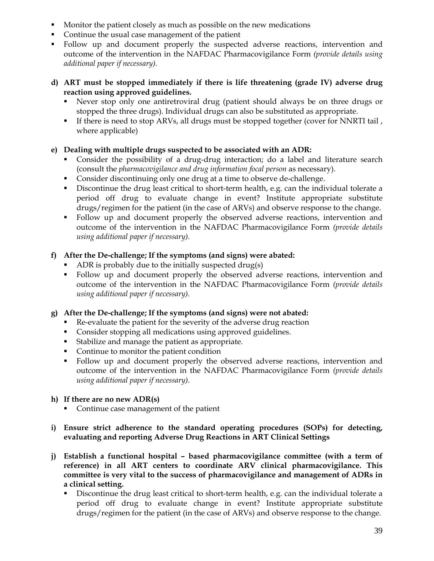- **Monitor the patient closely as much as possible on the new medications**
- Continue the usual case management of the patient
- Follow up and document properly the suspected adverse reactions, intervention and outcome of the intervention in the NAFDAC Pharmacovigilance Form *(provide details using additional paper if necessary).*
- **d) ART must be stopped immediately if there is life threatening (grade IV) adverse drug reaction using approved guidelines.** 
	- Never stop only one antiretroviral drug (patient should always be on three drugs or stopped the three drugs). Individual drugs can also be substituted as appropriate.
	- If there is need to stop ARVs, all drugs must be stopped together (cover for NNRTI tail , where applicable)

# **e) Dealing with multiple drugs suspected to be associated with an ADR:**

- Consider the possibility of a drug-drug interaction; do a label and literature search (consult the *pharmacovigilance and drug information focal person* as necessary).
- Consider discontinuing only one drug at a time to observe de-challenge.
- Discontinue the drug least critical to short-term health, e.g. can the individual tolerate a period off drug to evaluate change in event? Institute appropriate substitute drugs/regimen for the patient (in the case of ARVs) and observe response to the change.
- Follow up and document properly the observed adverse reactions, intervention and outcome of the intervention in the NAFDAC Pharmacovigilance Form *(provide details using additional paper if necessary).*

# **f) After the De-challenge; If the symptoms (and signs) were abated:**

- ADR is probably due to the initially suspected drug(s)
- Follow up and document properly the observed adverse reactions, intervention and outcome of the intervention in the NAFDAC Pharmacovigilance Form *(provide details using additional paper if necessary).*

#### **g) After the De-challenge; If the symptoms (and signs) were not abated:**

- Re-evaluate the patient for the severity of the adverse drug reaction
- Consider stopping all medications using approved guidelines.
- Stabilize and manage the patient as appropriate.
- Continue to monitor the patient condition
- Follow up and document properly the observed adverse reactions, intervention and outcome of the intervention in the NAFDAC Pharmacovigilance Form *(provide details using additional paper if necessary).*

#### **h) If there are no new ADR(s)**

- Continue case management of the patient
- **i) Ensure strict adherence to the standard operating procedures (SOPs) for detecting, evaluating and reporting Adverse Drug Reactions in ART Clinical Settings**
- **j) Establish a functional hospital based pharmacovigilance committee (with a term of reference) in all ART centers to coordinate ARV clinical pharmacovigilance. This committee is very vital to the success of pharmacovigilance and management of ADRs in a clinical setting.** 
	- Discontinue the drug least critical to short-term health, e.g. can the individual tolerate a period off drug to evaluate change in event? Institute appropriate substitute drugs/regimen for the patient (in the case of ARVs) and observe response to the change.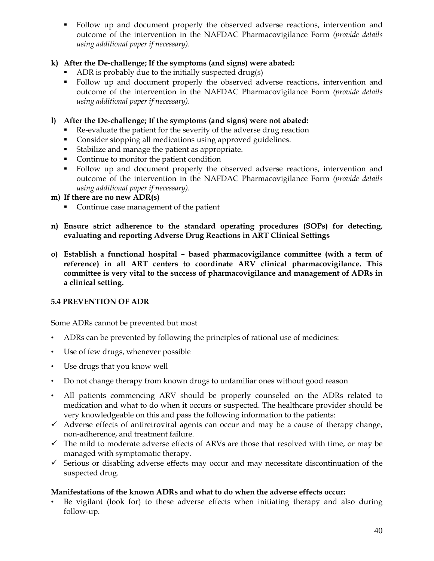Follow up and document properly the observed adverse reactions, intervention and outcome of the intervention in the NAFDAC Pharmacovigilance Form *(provide details using additional paper if necessary).* 

# **k) After the De-challenge; If the symptoms (and signs) were abated:**

- ADR is probably due to the initially suspected drug(s)
- Follow up and document properly the observed adverse reactions, intervention and outcome of the intervention in the NAFDAC Pharmacovigilance Form *(provide details using additional paper if necessary).*

# **l) After the De-challenge; If the symptoms (and signs) were not abated:**

- Re-evaluate the patient for the severity of the adverse drug reaction
- **Consider stopping all medications using approved guidelines.**
- Stabilize and manage the patient as appropriate.
- Continue to monitor the patient condition
- Follow up and document properly the observed adverse reactions, intervention and outcome of the intervention in the NAFDAC Pharmacovigilance Form *(provide details using additional paper if necessary).*

#### **m) If there are no new ADR(s)**

- Continue case management of the patient
- **n) Ensure strict adherence to the standard operating procedures (SOPs) for detecting, evaluating and reporting Adverse Drug Reactions in ART Clinical Settings**
- **o) Establish a functional hospital based pharmacovigilance committee (with a term of reference) in all ART centers to coordinate ARV clinical pharmacovigilance. This committee is very vital to the success of pharmacovigilance and management of ADRs in a clinical setting.**

# **5.4 PREVENTION OF ADR**

Some ADRs cannot be prevented but most

- ADRs can be prevented by following the principles of rational use of medicines:
- Use of few drugs, whenever possible
- Use drugs that you know well
- Do not change therapy from known drugs to unfamiliar ones without good reason
- All patients commencing ARV should be properly counseled on the ADRs related to medication and what to do when it occurs or suspected. The healthcare provider should be very knowledgeable on this and pass the following information to the patients:
- $\checkmark$  Adverse effects of antiretroviral agents can occur and may be a cause of therapy change, non-adherence, and treatment failure.
- $\checkmark$  The mild to moderate adverse effects of ARVs are those that resolved with time, or may be managed with symptomatic therapy.
- $\checkmark$  Serious or disabling adverse effects may occur and may necessitate discontinuation of the suspected drug.

# **Manifestations of the known ADRs and what to do when the adverse effects occur:**

• Be vigilant (look for) to these adverse effects when initiating therapy and also during follow-up.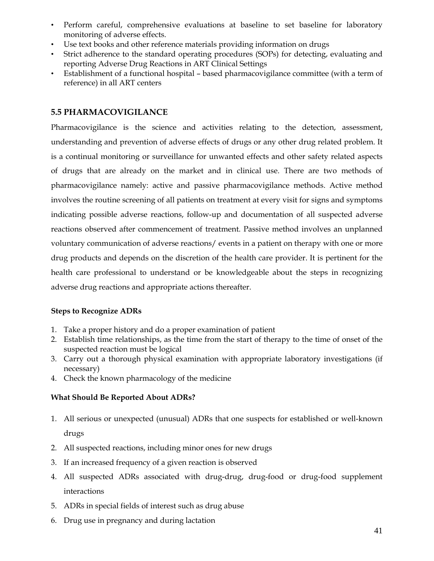- Perform careful, comprehensive evaluations at baseline to set baseline for laboratory monitoring of adverse effects.
- Use text books and other reference materials providing information on drugs
- Strict adherence to the standard operating procedures (SOPs) for detecting, evaluating and reporting Adverse Drug Reactions in ART Clinical Settings
- Establishment of a functional hospital based pharmacovigilance committee (with a term of reference) in all ART centers

# **5.5 PHARMACOVIGILANCE**

Pharmacovigilance is the science and activities relating to the detection, assessment, understanding and prevention of adverse effects of drugs or any other drug related problem. It is a continual monitoring or surveillance for unwanted effects and other safety related aspects of drugs that are already on the market and in clinical use. There are two methods of pharmacovigilance namely: active and passive pharmacovigilance methods. Active method involves the routine screening of all patients on treatment at every visit for signs and symptoms indicating possible adverse reactions, follow-up and documentation of all suspected adverse reactions observed after commencement of treatment. Passive method involves an unplanned voluntary communication of adverse reactions/ events in a patient on therapy with one or more drug products and depends on the discretion of the health care provider. It is pertinent for the health care professional to understand or be knowledgeable about the steps in recognizing adverse drug reactions and appropriate actions thereafter.

#### **Steps to Recognize ADRs**

- 1. Take a proper history and do a proper examination of patient
- 2. Establish time relationships, as the time from the start of therapy to the time of onset of the suspected reaction must be logical
- 3. Carry out a thorough physical examination with appropriate laboratory investigations (if necessary)
- 4. Check the known pharmacology of the medicine

# **What Should Be Reported About ADRs?**

- 1. All serious or unexpected (unusual) ADRs that one suspects for established or well-known drugs
- 2. All suspected reactions, including minor ones for new drugs
- 3. If an increased frequency of a given reaction is observed
- 4. All suspected ADRs associated with drug-drug, drug-food or drug-food supplement interactions
- 5. ADRs in special fields of interest such as drug abuse
- 6. Drug use in pregnancy and during lactation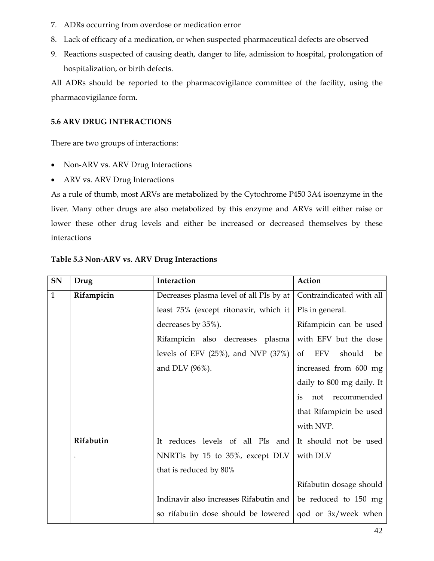- 7. ADRs occurring from overdose or medication error
- 8. Lack of efficacy of a medication, or when suspected pharmaceutical defects are observed
- 9. Reactions suspected of causing death, danger to life, admission to hospital, prolongation of hospitalization, or birth defects.

All ADRs should be reported to the pharmacovigilance committee of the facility, using the pharmacovigilance form.

# **5.6 ARV DRUG INTERACTIONS**

There are two groups of interactions:

- Non-ARV vs. ARV Drug Interactions
- ARV vs. ARV Drug Interactions

As a rule of thumb, most ARVs are metabolized by the Cytochrome P450 3A4 isoenzyme in the liver. Many other drugs are also metabolized by this enzyme and ARVs will either raise or lower these other drug levels and either be increased or decreased themselves by these interactions

| SN           | Drug       | Interaction                             | Action                               |
|--------------|------------|-----------------------------------------|--------------------------------------|
| $\mathbf{1}$ | Rifampicin | Decreases plasma level of all PIs by at | Contraindicated with all             |
|              |            | least 75% (except ritonavir, which it   | PIs in general.                      |
|              |            | decreases by 35%).                      | Rifampicin can be used               |
|              |            | Rifampicin also decreases plasma        | with EFV but the dose                |
|              |            | levels of EFV $(25%)$ , and NVP $(37%)$ | EFV<br>should<br><sub>of</sub><br>be |
|              |            | and DLV (96%).                          | increased from 600 mg                |
|              |            |                                         | daily to 800 mg daily. It            |
|              |            |                                         | not recommended<br>is                |
|              |            |                                         | that Rifampicin be used              |
|              |            |                                         | with NVP.                            |
|              | Rifabutin  | It reduces levels of all PIs<br>and     | It should not be used                |
|              |            | NNRTIs by 15 to 35%, except DLV         | with DLV                             |
|              |            | that is reduced by 80%                  |                                      |
|              |            |                                         | Rifabutin dosage should              |
|              |            | Indinavir also increases Rifabutin and  | be reduced to 150 mg                 |
|              |            | so rifabutin dose should be lowered     | $\alpha$ and or 3x/week when         |

# **Table 5.3 Non-ARV vs. ARV Drug Interactions**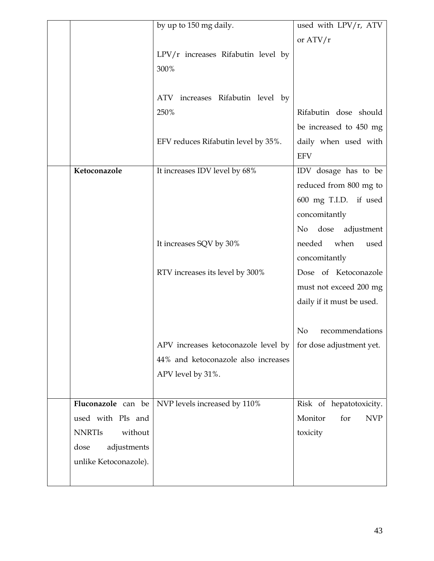|                          | by up to 150 mg daily.                     | used with LPV/r, ATV              |
|--------------------------|--------------------------------------------|-----------------------------------|
|                          |                                            | or $ATV/r$                        |
|                          | $LPV/r$ increases Rifabutin level by       |                                   |
|                          | 300%                                       |                                   |
|                          |                                            |                                   |
|                          |                                            |                                   |
|                          | increases Rifabutin level by<br><b>ATV</b> |                                   |
|                          | 250%                                       | Rifabutin dose should             |
|                          |                                            | be increased to 450 mg            |
|                          | EFV reduces Rifabutin level by 35%.        | daily when used with              |
|                          |                                            | <b>EFV</b>                        |
| Ketoconazole             | It increases IDV level by 68%              | IDV dosage has to be              |
|                          |                                            | reduced from 800 mg to            |
|                          |                                            | 600 mg T.I.D. if used             |
|                          |                                            | concomitantly                     |
|                          |                                            | dose<br>No<br>adjustment          |
|                          | It increases SQV by 30%                    | needed<br>when<br>used            |
|                          |                                            |                                   |
|                          |                                            | concomitantly                     |
|                          | RTV increases its level by 300%            | Dose of Ketoconazole              |
|                          |                                            | must not exceed 200 mg            |
|                          |                                            | daily if it must be used.         |
|                          |                                            |                                   |
|                          |                                            | N <sub>o</sub><br>recommendations |
|                          | APV increases ketoconazole level by        | for dose adjustment yet.          |
|                          | 44% and ketoconazole also increases        |                                   |
|                          | APV level by 31%.                          |                                   |
|                          |                                            |                                   |
| Fluconazole can be       | NVP levels increased by 110%               | Risk of hepatotoxicity.           |
| used with PIs and        |                                            | Monitor<br>for<br><b>NVP</b>      |
| <b>NNRTIS</b><br>without |                                            | toxicity                          |
| dose<br>adjustments      |                                            |                                   |
|                          |                                            |                                   |
| unlike Ketoconazole).    |                                            |                                   |
|                          |                                            |                                   |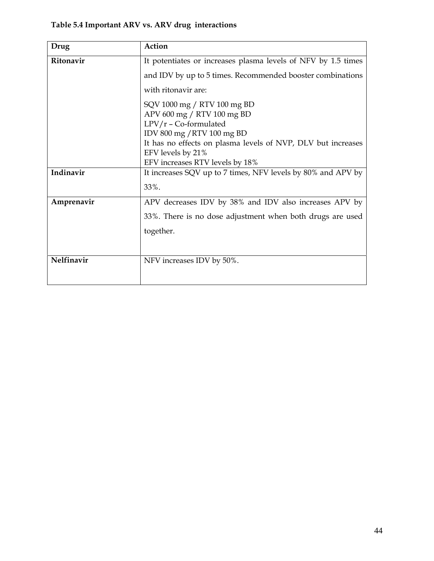# **Table 5.4 Important ARV vs. ARV drug interactions**

| Drug             | Action                                                        |  |
|------------------|---------------------------------------------------------------|--|
| <b>Ritonavir</b> | It potentiates or increases plasma levels of NFV by 1.5 times |  |
|                  | and IDV by up to 5 times. Recommended booster combinations    |  |
|                  | with ritonavir are:                                           |  |
|                  | SQV 1000 mg / RTV 100 mg BD                                   |  |
|                  | APV 600 mg / RTV 100 mg BD                                    |  |
|                  | LPV/r - Co-formulated                                         |  |
|                  | IDV 800 mg / RTV 100 mg BD                                    |  |
|                  | It has no effects on plasma levels of NVP, DLV but increases  |  |
|                  | EFV levels by 21%                                             |  |
| Indinavir        | EFV increases RTV levels by 18%                               |  |
|                  | It increases SQV up to 7 times, NFV levels by 80% and APV by  |  |
|                  | 33%.                                                          |  |
| Amprenavir       | APV decreases IDV by 38% and IDV also increases APV by        |  |
|                  | 33%. There is no dose adjustment when both drugs are used     |  |
|                  | together.                                                     |  |
|                  |                                                               |  |
| Nelfinavir       | NFV increases IDV by 50%.                                     |  |
|                  |                                                               |  |
|                  |                                                               |  |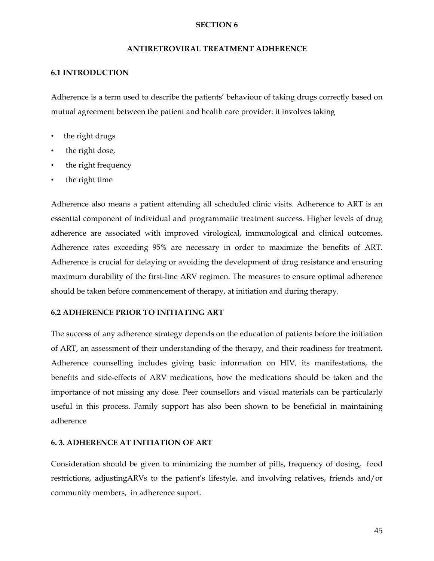#### **SECTION 6**

#### **ANTIRETROVIRAL TREATMENT ADHERENCE**

#### **6.1 INTRODUCTION**

Adherence is a term used to describe the patients' behaviour of taking drugs correctly based on mutual agreement between the patient and health care provider: it involves taking

- the right drugs
- the right dose,
- the right frequency
- the right time

Adherence also means a patient attending all scheduled clinic visits. Adherence to ART is an essential component of individual and programmatic treatment success. Higher levels of drug adherence are associated with improved virological, immunological and clinical outcomes. Adherence rates exceeding 95% are necessary in order to maximize the benefits of ART. Adherence is crucial for delaying or avoiding the development of drug resistance and ensuring maximum durability of the first-line ARV regimen. The measures to ensure optimal adherence should be taken before commencement of therapy, at initiation and during therapy.

#### **6.2 ADHERENCE PRIOR TO INITIATING ART**

The success of any adherence strategy depends on the education of patients before the initiation of ART, an assessment of their understanding of the therapy, and their readiness for treatment. Adherence counselling includes giving basic information on HIV, its manifestations, the benefits and side-effects of ARV medications, how the medications should be taken and the importance of not missing any dose. Peer counsellors and visual materials can be particularly useful in this process. Family support has also been shown to be beneficial in maintaining adherence

#### **6. 3. ADHERENCE AT INITIATION OF ART**

Consideration should be given to minimizing the number of pills, frequency of dosing, food restrictions, adjustingARVs to the patient's lifestyle, and involving relatives, friends and/or community members, in adherence suport.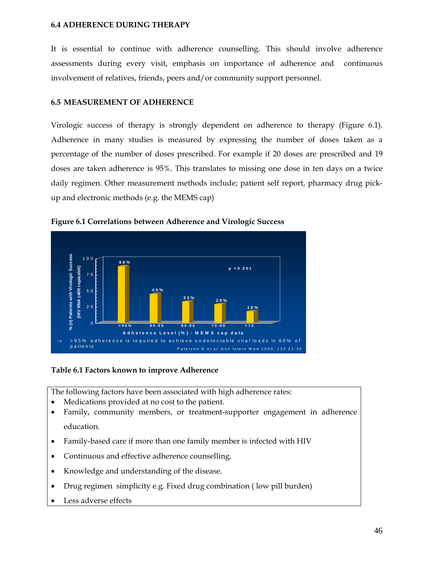#### **6.4 ADHERENCE DURING THERAPY**

It is essential to continue with adherence counselling. This should involve adherence assessments during every visit, emphasis on importance of adherence and continuous involvement of relatives, friends, peers and/or community support personnel.

#### **6.5 MEASUREMENT OF ADHERENCE**

Virologic success of therapy is strongly dependent on adherence to therapy (Figure 6.1). Adherence in many studies is measured by expressing the number of doses taken as a percentage of the number of doses prescribed. For example if 20 doses are prescribed and 19 doses are taken adherence is 95%. This translates to missing one dose in ten days on a twice daily regimen. Other measurement methods include; patient self report, pharmacy drug pickup and electronic methods (e.g. the MEMS cap)



**Figure 6.1 Correlations between Adherence and Virologic Success** 

#### **Table 6.1 Factors known to improve Adherence**

The following factors have been associated with high adherence rates:

- Medications provided at no cost to the patient.
- Family, community members, or treatment-supporter engagement in adherence education.
- Family-based care if more than one family member is infected with HIV
- Continuous and effective adherence counselling.
- Knowledge and understanding of the disease.
- Drug regimen simplicity e.g. Fixed drug combination ( low pill burden)
- Less adverse effects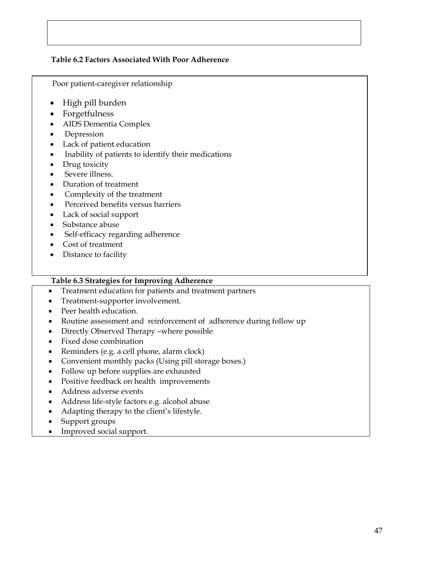# **Table 6.2 Factors Associated With Poor Adherence**

Poor patient-caregiver relationship

- High pill burden
- Forgetfulness
- AIDS Dementia Complex
- Depression
- Lack of patient education
- Inability of patients to identify their medications
- Drug toxicity
- Severe illness.
- Duration of treatment
- Complexity of the treatment
- Perceived benefits versus barriers
- Lack of social support
- Substance abuse
- Self-efficacy regarding adherence
- Cost of treatment
- Distance to facility

# **Table 6.3 Strategies for Improving Adherence**

- Treatment education for patients and treatment partners
- Treatment-supporter involvement.
- Peer health education.
- Routine assessment and reinforcement of adherence during follow up
- Directly Observed Therapy –where possible
- Fixed dose combination
- Reminders (e.g. a cell phone, alarm clock)
- Convenient monthly packs (Using pill storage boxes.)
- Follow up before supplies are exhausted
- Positive feedback on health improvements
- Address adverse events
- Address life-style factors e.g. alcohol abuse
- Adapting therapy to the client's lifestyle.
- Support groups
- Improved social support.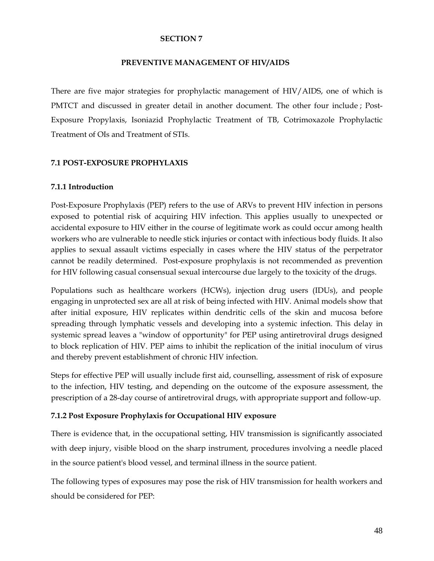#### **SECTION 7**

#### **PREVENTIVE MANAGEMENT OF HIV/AIDS**

There are five major strategies for prophylactic management of HIV/AIDS, one of which is PMTCT and discussed in greater detail in another document. The other four include ; Post-Exposure Propylaxis, Isoniazid Prophylactic Treatment of TB, Cotrimoxazole Prophylactic Treatment of OIs and Treatment of STIs.

#### **7.1 POST-EXPOSURE PROPHYLAXIS**

#### **7.1.1 Introduction**

Post-Exposure Prophylaxis (PEP) refers to the use of ARVs to prevent HIV infection in persons exposed to potential risk of acquiring HIV infection. This applies usually to unexpected or accidental exposure to HIV either in the course of legitimate work as could occur among health workers who are vulnerable to needle stick injuries or contact with infectious body fluids. It also applies to sexual assault victims especially in cases where the HIV status of the perpetrator cannot be readily determined. Post-exposure prophylaxis is not recommended as prevention for HIV following casual consensual sexual intercourse due largely to the toxicity of the drugs.

Populations such as healthcare workers (HCWs), injection drug users (IDUs), and people engaging in unprotected sex are all at risk of being infected with HIV. Animal models show that after initial exposure, HIV replicates within dendritic cells of the skin and mucosa before spreading through lymphatic vessels and developing into a systemic infection. This delay in systemic spread leaves a "window of opportunity" for PEP using antiretroviral drugs designed to block replication of HIV. PEP aims to inhibit the replication of the initial inoculum of virus and thereby prevent establishment of chronic HIV infection.

Steps for effective PEP will usually include first aid, counselling, assessment of risk of exposure to the infection, HIV testing, and depending on the outcome of the exposure assessment, the prescription of a 28-day course of antiretroviral drugs, with appropriate support and follow-up.

#### **7.1.2 Post Exposure Prophylaxis for Occupational HIV exposure**

There is evidence that, in the occupational setting, HIV transmission is significantly associated with deep injury, visible blood on the sharp instrument, procedures involving a needle placed in the source patient's blood vessel, and terminal illness in the source patient.

The following types of exposures may pose the risk of HIV transmission for health workers and should be considered for PEP: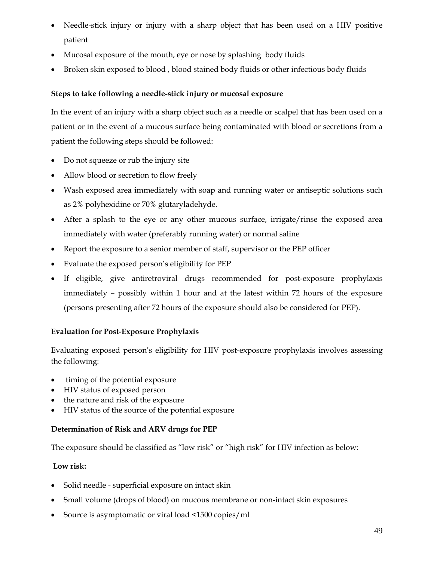- Needle-stick injury or injury with a sharp object that has been used on a HIV positive patient
- Mucosal exposure of the mouth, eye or nose by splashing body fluids
- Broken skin exposed to blood , blood stained body fluids or other infectious body fluids

# **Steps to take following a needle-stick injury or mucosal exposure**

In the event of an injury with a sharp object such as a needle or scalpel that has been used on a patient or in the event of a mucous surface being contaminated with blood or secretions from a patient the following steps should be followed:

- Do not squeeze or rub the injury site
- Allow blood or secretion to flow freely
- Wash exposed area immediately with soap and running water or antiseptic solutions such as 2% polyhexidine or 70% glutaryladehyde.
- After a splash to the eye or any other mucous surface, irrigate/rinse the exposed area immediately with water (preferably running water) or normal saline
- Report the exposure to a senior member of staff, supervisor or the PEP officer
- Evaluate the exposed person's eligibility for PEP
- If eligible, give antiretroviral drugs recommended for post-exposure prophylaxis immediately – possibly within 1 hour and at the latest within 72 hours of the exposure (persons presenting after 72 hours of the exposure should also be considered for PEP).

# **Evaluation for Post-Exposure Prophylaxis**

Evaluating exposed person's eligibility for HIV post-exposure prophylaxis involves assessing the following:

- timing of the potential exposure
- HIV status of exposed person
- the nature and risk of the exposure
- HIV status of the source of the potential exposure

# **Determination of Risk and ARV drugs for PEP**

The exposure should be classified as "low risk" or "high risk" for HIV infection as below:

# **Low risk:**

- Solid needle superficial exposure on intact skin
- Small volume (drops of blood) on mucous membrane or non-intact skin exposures
- Source is asymptomatic or viral load <1500 copies/ml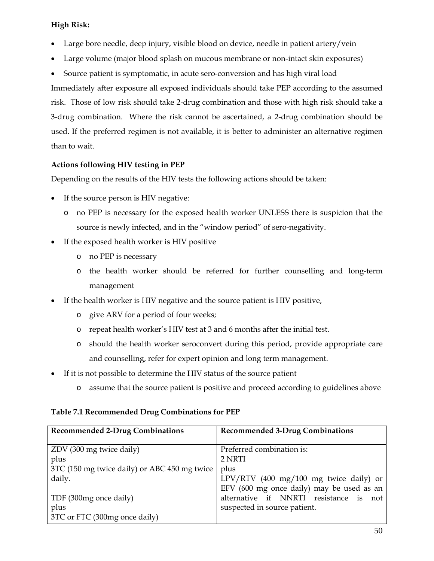# **High Risk:**

- Large bore needle, deep injury, visible blood on device, needle in patient artery/vein
- Large volume (major blood splash on mucous membrane or non-intact skin exposures)
- Source patient is symptomatic, in acute sero-conversion and has high viral load

Immediately after exposure all exposed individuals should take PEP according to the assumed risk. Those of low risk should take 2-drug combination and those with high risk should take a 3-drug combination. Where the risk cannot be ascertained, a 2-drug combination should be used. If the preferred regimen is not available, it is better to administer an alternative regimen than to wait.

# **Actions following HIV testing in PEP**

Depending on the results of the HIV tests the following actions should be taken:

- If the source person is HIV negative:
	- o no PEP is necessary for the exposed health worker UNLESS there is suspicion that the source is newly infected, and in the "window period" of sero-negativity.
- If the exposed health worker is HIV positive
	- o no PEP is necessary
	- o the health worker should be referred for further counselling and long-term management
- If the health worker is HIV negative and the source patient is HIV positive,
	- o give ARV for a period of four weeks;
	- o repeat health worker's HIV test at 3 and 6 months after the initial test.
	- o should the health worker seroconvert during this period, provide appropriate care and counselling, refer for expert opinion and long term management.
- If it is not possible to determine the HIV status of the source patient
	- o assume that the source patient is positive and proceed according to guidelines above

# **Table 7.1 Recommended Drug Combinations for PEP**

| <b>Recommended 2-Drug Combinations</b>       | <b>Recommended 3-Drug Combinations</b>    |
|----------------------------------------------|-------------------------------------------|
|                                              |                                           |
| ZDV (300 mg twice daily)                     | Preferred combination is:                 |
| plus                                         | 2 NRTI                                    |
| 3TC (150 mg twice daily) or ABC 450 mg twice | plus                                      |
| daily.                                       | LPV/RTV (400 mg/100 mg twice daily) or    |
|                                              | EFV (600 mg once daily) may be used as an |
| TDF (300mg once daily)                       | alternative if NNRTI resistance is not    |
| plus                                         | suspected in source patient.              |
| 3TC or FTC (300mg once daily)                |                                           |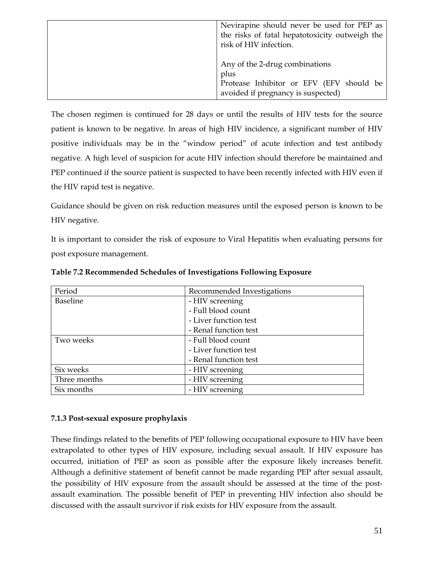| Nevirapine should never be used for PEP as<br>the risks of fatal hepatotoxicity outweigh the<br>risk of HIV infection.   |  |
|--------------------------------------------------------------------------------------------------------------------------|--|
| Any of the 2-drug combinations<br>plus<br>Protease Inhibitor or EFV (EFV should be<br>avoided if pregnancy is suspected) |  |

The chosen regimen is continued for 28 days or until the results of HIV tests for the source patient is known to be negative. In areas of high HIV incidence, a significant number of HIV positive individuals may be in the "window period" of acute infection and test antibody negative. A high level of suspicion for acute HIV infection should therefore be maintained and PEP continued if the source patient is suspected to have been recently infected with HIV even if the HIV rapid test is negative.

Guidance should be given on risk reduction measures until the exposed person is known to be HIV negative.

It is important to consider the risk of exposure to Viral Hepatitis when evaluating persons for post exposure management.

| Period<br>Recommended Investigations |                       |  |
|--------------------------------------|-----------------------|--|
| <b>Baseline</b>                      | - HIV screening       |  |
|                                      | - Full blood count    |  |
|                                      | - Liver function test |  |
|                                      | - Renal function test |  |
| Two weeks                            | - Full blood count    |  |
|                                      | - Liver function test |  |
|                                      | - Renal function test |  |
| Six weeks                            | - HIV screening       |  |
| Three months                         | - HIV screening       |  |
| Six months                           | - HIV screening       |  |

**Table 7.2 Recommended Schedules of Investigations Following Exposure** 

# **7.1.3 Post-sexual exposure prophylaxis**

These findings related to the benefits of PEP following occupational exposure to HIV have been extrapolated to other types of HIV exposure, including sexual assault. If HIV exposure has occurred, initiation of PEP as soon as possible after the exposure likely increases benefit. Although a definitive statement of benefit cannot be made regarding PEP after sexual assault, the possibility of HIV exposure from the assault should be assessed at the time of the postassault examination. The possible benefit of PEP in preventing HIV infection also should be discussed with the assault survivor if risk exists for HIV exposure from the assault.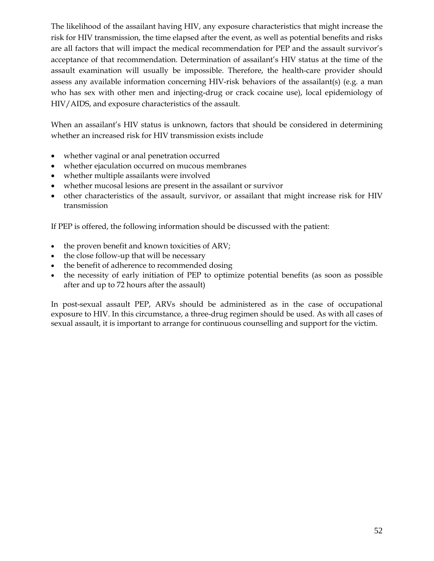The likelihood of the assailant having HIV, any exposure characteristics that might increase the risk for HIV transmission, the time elapsed after the event, as well as potential benefits and risks are all factors that will impact the medical recommendation for PEP and the assault survivor's acceptance of that recommendation. Determination of assailant's HIV status at the time of the assault examination will usually be impossible. Therefore, the health-care provider should assess any available information concerning HIV-risk behaviors of the assailant(s) (e.g. a man who has sex with other men and injecting-drug or crack cocaine use), local epidemiology of HIV/AIDS, and exposure characteristics of the assault.

When an assailant's HIV status is unknown, factors that should be considered in determining whether an increased risk for HIV transmission exists include

- whether vaginal or anal penetration occurred
- whether ejaculation occurred on mucous membranes
- whether multiple assailants were involved
- whether mucosal lesions are present in the assailant or survivor
- other characteristics of the assault, survivor, or assailant that might increase risk for HIV transmission

If PEP is offered, the following information should be discussed with the patient:

- the proven benefit and known toxicities of ARV;
- the close follow-up that will be necessary
- the benefit of adherence to recommended dosing
- the necessity of early initiation of PEP to optimize potential benefits (as soon as possible after and up to 72 hours after the assault)

In post-sexual assault PEP, ARVs should be administered as in the case of occupational exposure to HIV. In this circumstance, a three-drug regimen should be used. As with all cases of sexual assault, it is important to arrange for continuous counselling and support for the victim.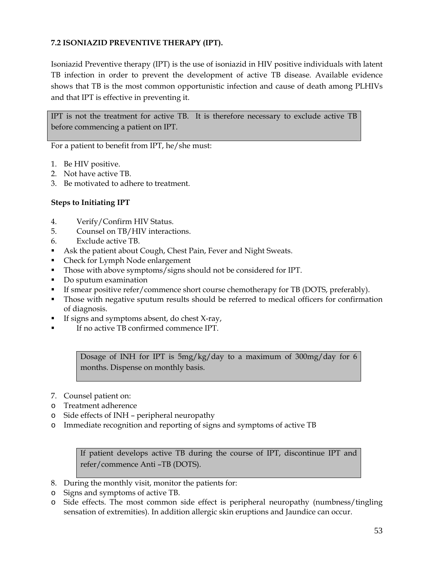# **7.2 ISONIAZID PREVENTIVE THERAPY (IPT).**

Isoniazid Preventive therapy (IPT) is the use of isoniazid in HIV positive individuals with latent TB infection in order to prevent the development of active TB disease. Available evidence shows that TB is the most common opportunistic infection and cause of death among PLHIVs and that IPT is effective in preventing it.

IPT is not the treatment for active TB. It is therefore necessary to exclude active TB before commencing a patient on IPT.

For a patient to benefit from IPT, he/she must:

- 1. Be HIV positive.
- 2. Not have active TB.
- 3. Be motivated to adhere to treatment.

# **Steps to Initiating IPT**

- 4. Verify/Confirm HIV Status.
- 5. Counsel on TB/HIV interactions.
- 6. Exclude active TB.
- Ask the patient about Cough, Chest Pain, Fever and Night Sweats.
- Check for Lymph Node enlargement
- Those with above symptoms/signs should not be considered for IPT.
- Do sputum examination
- If smear positive refer/commence short course chemotherapy for TB (DOTS, preferably).
- Those with negative sputum results should be referred to medical officers for confirmation of diagnosis.
- If signs and symptoms absent, do chest X-ray,
- If no active TB confirmed commence IPT.

Dosage of INH for IPT is 5mg/kg/day to a maximum of 300mg/day for 6 months. Dispense on monthly basis.

- 7. Counsel patient on:
- o Treatment adherence
- o Side effects of INH peripheral neuropathy
- o Immediate recognition and reporting of signs and symptoms of active TB

If patient develops active TB during the course of IPT, discontinue IPT and refer/commence Anti –TB (DOTS).

- 8. During the monthly visit, monitor the patients for:
- o Signs and symptoms of active TB.
- o Side effects. The most common side effect is peripheral neuropathy (numbness/tingling sensation of extremities). In addition allergic skin eruptions and Jaundice can occur.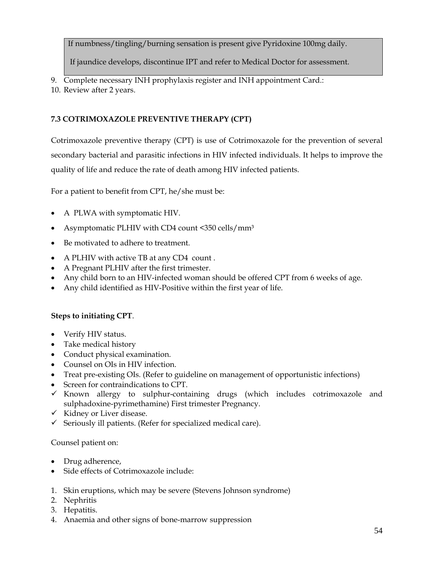If numbness/tingling/burning sensation is present give Pyridoxine 100mg daily.

If jaundice develops, discontinue IPT and refer to Medical Doctor for assessment.

- 9. Complete necessary INH prophylaxis register and INH appointment Card.:
- 10. Review after 2 years.

# **7.3 COTRIMOXAZOLE PREVENTIVE THERAPY (CPT)**

Cotrimoxazole preventive therapy (CPT) is use of Cotrimoxazole for the prevention of several secondary bacterial and parasitic infections in HIV infected individuals. It helps to improve the quality of life and reduce the rate of death among HIV infected patients.

For a patient to benefit from CPT, he/she must be:

- A PLWA with symptomatic HIV.
- Asymptomatic PLHIV with CD4 count <350 cells/mm<sup>3</sup>
- Be motivated to adhere to treatment.
- A PLHIV with active TB at any CD4 count .
- A Pregnant PLHIV after the first trimester.
- Any child born to an HIV-infected woman should be offered CPT from 6 weeks of age.
- Any child identified as HIV-Positive within the first year of life.

# **Steps to initiating CPT**.

- Verify HIV status.
- Take medical history
- Conduct physical examination.
- Counsel on OIs in HIV infection.
- Treat pre-existing OIs. (Refer to guideline on management of opportunistic infections)
- Screen for contraindications to CPT.
- $\checkmark$  Known allergy to sulphur-containing drugs (which includes cotrimoxazole and sulphadoxine-pyrimethamine) First trimester Pregnancy.
- $\checkmark$  Kidney or Liver disease.
- $\checkmark$  Seriously ill patients. (Refer for specialized medical care).

# Counsel patient on:

- Drug adherence,
- Side effects of Cotrimoxazole include:
- 1. Skin eruptions, which may be severe (Stevens Johnson syndrome)
- 2. Nephritis
- 3. Hepatitis.
- 4. Anaemia and other signs of bone-marrow suppression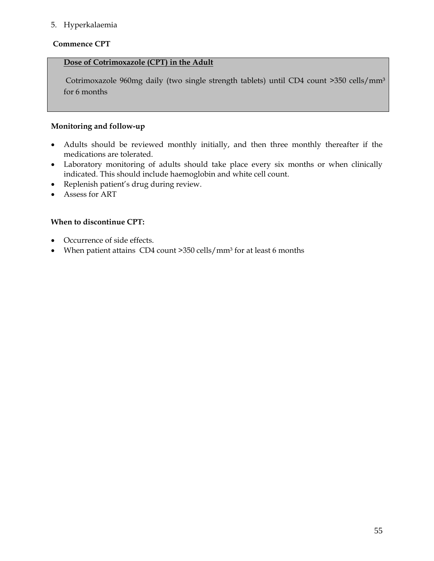# 5. Hyperkalaemia

#### **Commence CPT**

# **Dose of Cotrimoxazole (CPT) in the Adult**

Cotrimoxazole 960mg daily (two single strength tablets) until CD4 count >350 cells/mm<sup>3</sup> for 6 months

# **Monitoring and follow-up**

- Adults should be reviewed monthly initially, and then three monthly thereafter if the medications are tolerated.
- Laboratory monitoring of adults should take place every six months or when clinically indicated. This should include haemoglobin and white cell count.
- Replenish patient's drug during review.
- Assess for ART

# **When to discontinue CPT:**

- Occurrence of side effects.
- When patient attains  $CD4$  count  $>350$  cells/mm<sup>3</sup> for at least 6 months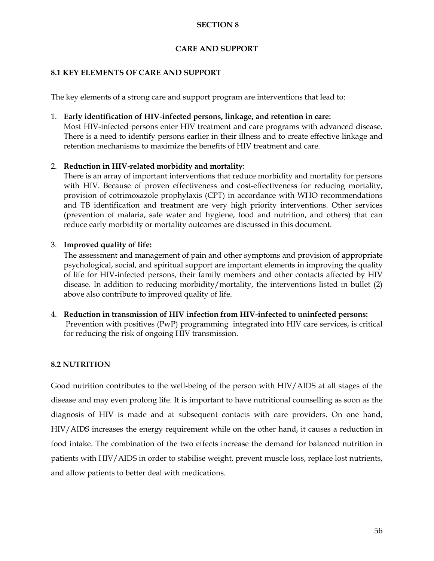## **SECTION 8**

# **CARE AND SUPPORT**

## **8.1 KEY ELEMENTS OF CARE AND SUPPORT**

The key elements of a strong care and support program are interventions that lead to:

## 1. **Early identification of HIV-infected persons, linkage, and retention in care:**

Most HIV-infected persons enter HIV treatment and care programs with advanced disease. There is a need to identify persons earlier in their illness and to create effective linkage and retention mechanisms to maximize the benefits of HIV treatment and care.

# 2. **Reduction in HIV-related morbidity and mortality**:

There is an array of important interventions that reduce morbidity and mortality for persons with HIV. Because of proven effectiveness and cost-effectiveness for reducing mortality, provision of cotrimoxazole prophylaxis (CPT) in accordance with WHO recommendations and TB identification and treatment are very high priority interventions. Other services (prevention of malaria, safe water and hygiene, food and nutrition, and others) that can reduce early morbidity or mortality outcomes are discussed in this document.

# 3. **Improved quality of life:**

The assessment and management of pain and other symptoms and provision of appropriate psychological, social, and spiritual support are important elements in improving the quality of life for HIV-infected persons, their family members and other contacts affected by HIV disease. In addition to reducing morbidity/mortality, the interventions listed in bullet (2) above also contribute to improved quality of life.

4. **Reduction in transmission of HIV infection from HIV-infected to uninfected persons:** Prevention with positives (PwP) programming integrated into HIV care services, is critical for reducing the risk of ongoing HIV transmission.

# **8.2 NUTRITION**

Good nutrition contributes to the well-being of the person with HIV/AIDS at all stages of the disease and may even prolong life. It is important to have nutritional counselling as soon as the diagnosis of HIV is made and at subsequent contacts with care providers. On one hand, HIV/AIDS increases the energy requirement while on the other hand, it causes a reduction in food intake. The combination of the two effects increase the demand for balanced nutrition in patients with HIV/AIDS in order to stabilise weight, prevent muscle loss, replace lost nutrients, and allow patients to better deal with medications.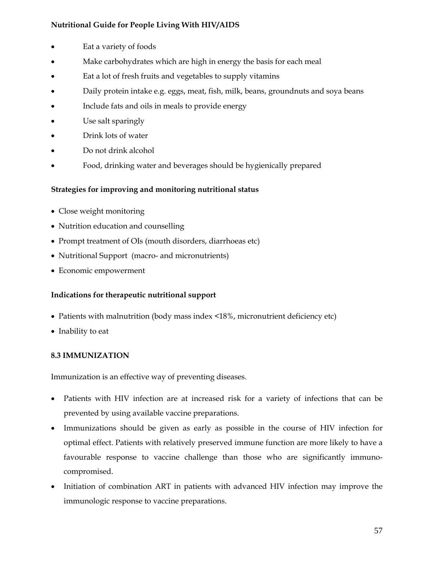# **Nutritional Guide for People Living With HIV/AIDS**

- Eat a variety of foods
- Make carbohydrates which are high in energy the basis for each meal
- Eat a lot of fresh fruits and vegetables to supply vitamins
- Daily protein intake e.g. eggs, meat, fish, milk, beans, groundnuts and soya beans
- Include fats and oils in meals to provide energy
- Use salt sparingly
- Drink lots of water
- Do not drink alcohol
- Food, drinking water and beverages should be hygienically prepared

# **Strategies for improving and monitoring nutritional status**

- Close weight monitoring
- Nutrition education and counselling
- Prompt treatment of OIs (mouth disorders, diarrhoeas etc)
- Nutritional Support (macro- and micronutrients)
- Economic empowerment

# **Indications for therapeutic nutritional support**

- Patients with malnutrition (body mass index <18%, micronutrient deficiency etc)
- Inability to eat

#### **8.3 IMMUNIZATION**

Immunization is an effective way of preventing diseases.

- Patients with HIV infection are at increased risk for a variety of infections that can be prevented by using available vaccine preparations.
- Immunizations should be given as early as possible in the course of HIV infection for optimal effect. Patients with relatively preserved immune function are more likely to have a favourable response to vaccine challenge than those who are significantly immunocompromised.
- Initiation of combination ART in patients with advanced HIV infection may improve the immunologic response to vaccine preparations.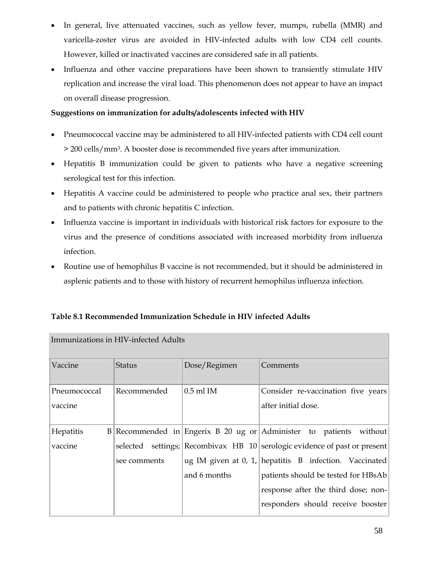- In general, live attenuated vaccines, such as yellow fever, mumps, rubella (MMR) and varicella-zoster virus are avoided in HIV-infected adults with low CD4 cell counts. However, killed or inactivated vaccines are considered safe in all patients.
- Influenza and other vaccine preparations have been shown to transiently stimulate HIV replication and increase the viral load. This phenomenon does not appear to have an impact on overall disease progression.

# **Suggestions on immunization for adults/adolescents infected with HIV**

- Pneumococcal vaccine may be administered to all HIV-infected patients with CD4 cell count > 200 cells/mm3. A booster dose is recommended five years after immunization.
- Hepatitis B immunization could be given to patients who have a negative screening serological test for this infection.
- Hepatitis A vaccine could be administered to people who practice anal sex, their partners and to patients with chronic hepatitis C infection.
- Influenza vaccine is important in individuals with historical risk factors for exposure to the virus and the presence of conditions associated with increased morbidity from influenza infection.
- Routine use of hemophilus B vaccine is not recommended, but it should be administered in asplenic patients and to those with history of recurrent hemophilus influenza infection.

| Immunizations in HIV-infected Adults |               |              |                                                                                                                                                    |
|--------------------------------------|---------------|--------------|----------------------------------------------------------------------------------------------------------------------------------------------------|
|                                      | <b>Status</b> | Dose/Regimen | Comments                                                                                                                                           |
|                                      | Recommended   | $0.5$ ml IM  | Consider re-vaccination five years                                                                                                                 |
|                                      |               |              | after initial dose.                                                                                                                                |
|                                      |               |              |                                                                                                                                                    |
|                                      |               |              |                                                                                                                                                    |
|                                      | see comments  |              | ug IM given at 0, 1, hepatitis $B$ infection. Vaccinated                                                                                           |
|                                      |               | and 6 months | patients should be tested for HBsAb                                                                                                                |
|                                      |               |              | response after the third dose; non-                                                                                                                |
|                                      |               |              | responders should receive booster                                                                                                                  |
|                                      |               |              | $B $ Recommended in Engerix B 20 ug or Administer to patients without<br>selected settings; Recombivax HB 10 serologic evidence of past or present |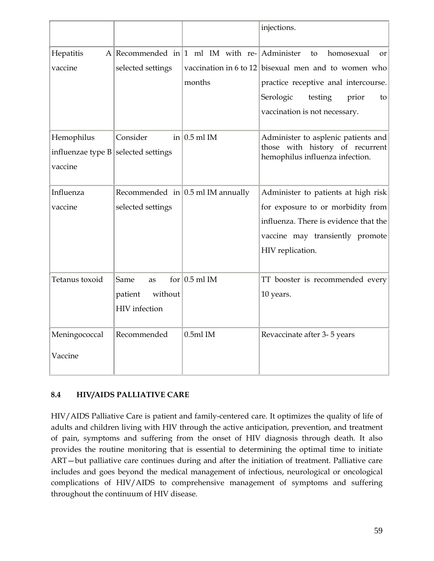|                     |                    |                                                         | injections.                                          |
|---------------------|--------------------|---------------------------------------------------------|------------------------------------------------------|
| Hepatitis           |                    | A Recommended in $ 1 \text{ ml}$ IM with re- Administer | homosexual<br>to<br><b>or</b>                        |
| vaccine             | selected settings  |                                                         | vaccination in 6 to 12 bisexual men and to women who |
|                     |                    | months                                                  | practice receptive anal intercourse.                 |
|                     |                    |                                                         | Serologic<br>testing<br>prior<br>to                  |
|                     |                    |                                                         | vaccination is not necessary.                        |
| Hemophilus          | Consider           | in $0.5$ ml IM                                          | Administer to asplenic patients and                  |
| influenzae type $B$ | selected settings  |                                                         | those with history of recurrent                      |
| vaccine             |                    |                                                         | hemophilus influenza infection.                      |
|                     |                    |                                                         |                                                      |
| Influenza           |                    | Recommended in $\vert$ 0.5 ml IM annually               | Administer to patients at high risk                  |
| vaccine             | selected settings  |                                                         | for exposure to or morbidity from                    |
|                     |                    |                                                         | influenza. There is evidence that the                |
|                     |                    |                                                         | vaccine may transiently promote                      |
|                     |                    |                                                         | HIV replication.                                     |
|                     |                    |                                                         |                                                      |
| Tetanus toxoid      | Same<br>as         | for $ 0.5$ ml IM                                        | TT booster is recommended every                      |
|                     | without<br>patient |                                                         | 10 years.                                            |
|                     | HIV infection      |                                                         |                                                      |
|                     |                    |                                                         |                                                      |
| Meningococcal       | Recommended        | $0.5ml$ IM                                              | Revaccinate after 3-5 years                          |
| Vaccine             |                    |                                                         |                                                      |

# **8.4 HIV/AIDS PALLIATIVE CARE**

HIV/AIDS Palliative Care is patient and family-centered care. It optimizes the quality of life of adults and children living with HIV through the active anticipation, prevention, and treatment of pain, symptoms and suffering from the onset of HIV diagnosis through death. It also provides the routine monitoring that is essential to determining the optimal time to initiate ART—but palliative care continues during and after the initiation of treatment. Palliative care includes and goes beyond the medical management of infectious, neurological or oncological complications of HIV/AIDS to comprehensive management of symptoms and suffering throughout the continuum of HIV disease.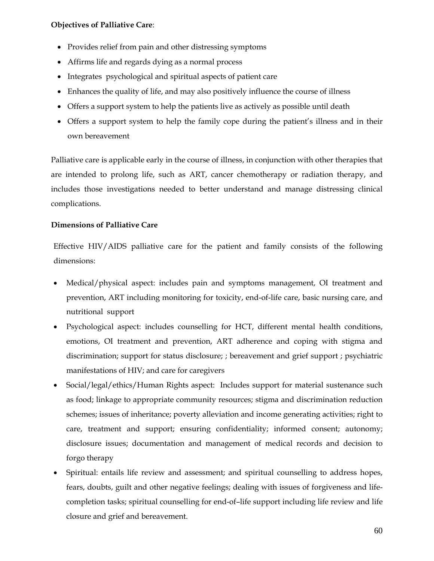#### **Objectives of Palliative Care**:

- Provides relief from pain and other distressing symptoms
- Affirms life and regards dying as a normal process
- Integrates psychological and spiritual aspects of patient care
- Enhances the quality of life, and may also positively influence the course of illness
- Offers a support system to help the patients live as actively as possible until death
- Offers a support system to help the family cope during the patient's illness and in their own bereavement

Palliative care is applicable early in the course of illness, in conjunction with other therapies that are intended to prolong life, such as ART, cancer chemotherapy or radiation therapy, and includes those investigations needed to better understand and manage distressing clinical complications.

# **Dimensions of Palliative Care**

Effective HIV/AIDS palliative care for the patient and family consists of the following dimensions:

- Medical/physical aspect: includes pain and symptoms management, OI treatment and prevention, ART including monitoring for toxicity, end-of-life care, basic nursing care, and nutritional support
- Psychological aspect: includes counselling for HCT, different mental health conditions, emotions, OI treatment and prevention, ART adherence and coping with stigma and discrimination; support for status disclosure; ; bereavement and grief support ; psychiatric manifestations of HIV; and care for caregivers
- Social/legal/ethics/Human Rights aspect: Includes support for material sustenance such as food; linkage to appropriate community resources; stigma and discrimination reduction schemes; issues of inheritance; poverty alleviation and income generating activities; right to care, treatment and support; ensuring confidentiality; informed consent; autonomy; disclosure issues; documentation and management of medical records and decision to forgo therapy
- Spiritual: entails life review and assessment; and spiritual counselling to address hopes, fears, doubts, guilt and other negative feelings; dealing with issues of forgiveness and lifecompletion tasks; spiritual counselling for end-of–life support including life review and life closure and grief and bereavement.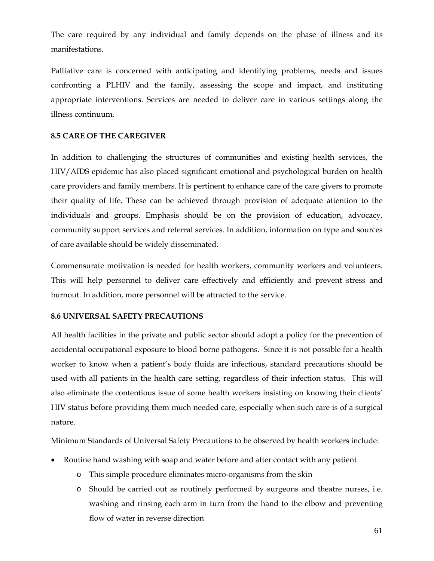The care required by any individual and family depends on the phase of illness and its manifestations.

Palliative care is concerned with anticipating and identifying problems, needs and issues confronting a PLHIV and the family, assessing the scope and impact, and instituting appropriate interventions. Services are needed to deliver care in various settings along the illness continuum.

#### **8.5 CARE OF THE CAREGIVER**

In addition to challenging the structures of communities and existing health services, the HIV/AIDS epidemic has also placed significant emotional and psychological burden on health care providers and family members. It is pertinent to enhance care of the care givers to promote their quality of life. These can be achieved through provision of adequate attention to the individuals and groups. Emphasis should be on the provision of education, advocacy, community support services and referral services. In addition, information on type and sources of care available should be widely disseminated.

Commensurate motivation is needed for health workers, community workers and volunteers. This will help personnel to deliver care effectively and efficiently and prevent stress and burnout. In addition, more personnel will be attracted to the service.

#### **8.6 UNIVERSAL SAFETY PRECAUTIONS**

All health facilities in the private and public sector should adopt a policy for the prevention of accidental occupational exposure to blood borne pathogens. Since it is not possible for a health worker to know when a patient's body fluids are infectious, standard precautions should be used with all patients in the health care setting, regardless of their infection status. This will also eliminate the contentious issue of some health workers insisting on knowing their clients' HIV status before providing them much needed care, especially when such care is of a surgical nature.

Minimum Standards of Universal Safety Precautions to be observed by health workers include:

- Routine hand washing with soap and water before and after contact with any patient
	- o This simple procedure eliminates micro-organisms from the skin
	- o Should be carried out as routinely performed by surgeons and theatre nurses, i.e. washing and rinsing each arm in turn from the hand to the elbow and preventing flow of water in reverse direction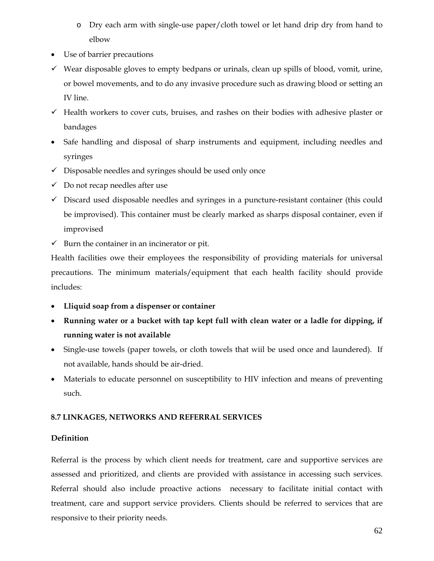- o Dry each arm with single-use paper/cloth towel or let hand drip dry from hand to elbow
- Use of barrier precautions
- $\checkmark$  Wear disposable gloves to empty bedpans or urinals, clean up spills of blood, vomit, urine, or bowel movements, and to do any invasive procedure such as drawing blood or setting an IV line.
- $\checkmark$  Health workers to cover cuts, bruises, and rashes on their bodies with adhesive plaster or bandages
- Safe handling and disposal of sharp instruments and equipment, including needles and syringes
- $\checkmark$  Disposable needles and syringes should be used only once
- $\checkmark$  Do not recap needles after use
- $\checkmark$  Discard used disposable needles and syringes in a puncture-resistant container (this could be improvised). This container must be clearly marked as sharps disposal container, even if improvised
- $\checkmark$  Burn the container in an incinerator or pit.

Health facilities owe their employees the responsibility of providing materials for universal precautions. The minimum materials/equipment that each health facility should provide includes:

- **Lliquid soap from a dispenser or container**
- **Running water or a bucket with tap kept full with clean water or a ladle for dipping, if running water is not available**
- Single-use towels (paper towels, or cloth towels that wiil be used once and laundered). If not available, hands should be air-dried.
- Materials to educate personnel on susceptibility to HIV infection and means of preventing such.

# **8.7 LINKAGES, NETWORKS AND REFERRAL SERVICES**

# **Definition**

Referral is the process by which client needs for treatment, care and supportive services are assessed and prioritized, and clients are provided with assistance in accessing such services. Referral should also include proactive actions necessary to facilitate initial contact with treatment, care and support service providers. Clients should be referred to services that are responsive to their priority needs.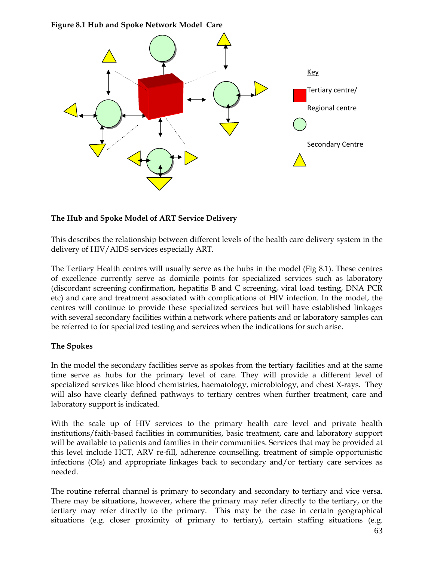**Figure 8.1 Hub and Spoke Network Model Care** 



# **The Hub and Spoke Model of ART Service Delivery**

This describes the relationship between different levels of the health care delivery system in the delivery of HIV/AIDS services especially ART.

The Tertiary Health centres will usually serve as the hubs in the model (Fig 8.1). These centres of excellence currently serve as domicile points for specialized services such as laboratory (discordant screening confirmation, hepatitis B and C screening, viral load testing, DNA PCR etc) and care and treatment associated with complications of HIV infection. In the model, the centres will continue to provide these specialized services but will have established linkages with several secondary facilities within a network where patients and or laboratory samples can be referred to for specialized testing and services when the indications for such arise.

#### **The Spokes**

In the model the secondary facilities serve as spokes from the tertiary facilities and at the same time serve as hubs for the primary level of care. They will provide a different level of specialized services like blood chemistries, haematology, microbiology, and chest X-rays. They will also have clearly defined pathways to tertiary centres when further treatment, care and laboratory support is indicated.

With the scale up of HIV services to the primary health care level and private health institutions/faith-based facilities in communities, basic treatment, care and laboratory support will be available to patients and families in their communities. Services that may be provided at this level include HCT, ARV re-fill, adherence counselling, treatment of simple opportunistic infections (OIs) and appropriate linkages back to secondary and/or tertiary care services as needed.

The routine referral channel is primary to secondary and secondary to tertiary and vice versa. There may be situations, however, where the primary may refer directly to the tertiary, or the tertiary may refer directly to the primary. This may be the case in certain geographical situations (e.g. closer proximity of primary to tertiary), certain staffing situations (e.g.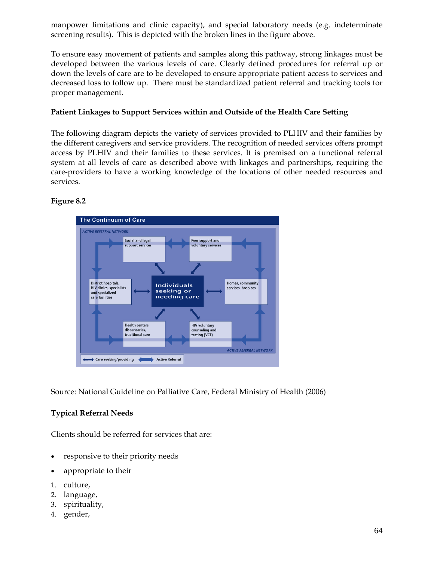manpower limitations and clinic capacity), and special laboratory needs (e.g. indeterminate screening results). This is depicted with the broken lines in the figure above.

To ensure easy movement of patients and samples along this pathway, strong linkages must be developed between the various levels of care. Clearly defined procedures for referral up or down the levels of care are to be developed to ensure appropriate patient access to services and decreased loss to follow up. There must be standardized patient referral and tracking tools for proper management.

#### **Patient Linkages to Support Services within and Outside of the Health Care Setting**

The following diagram depicts the variety of services provided to PLHIV and their families by the different caregivers and service providers. The recognition of needed services offers prompt access by PLHIV and their families to these services. It is premised on a functional referral system at all levels of care as described above with linkages and partnerships, requiring the care-providers to have a working knowledge of the locations of other needed resources and services.

# **Figure 8.2**



Source: National Guideline on Palliative Care, Federal Ministry of Health (2006)

# **Typical Referral Needs**

Clients should be referred for services that are:

- responsive to their priority needs
- appropriate to their
- 1. culture,
- 2. language,
- 3. spirituality,
- 4. gender,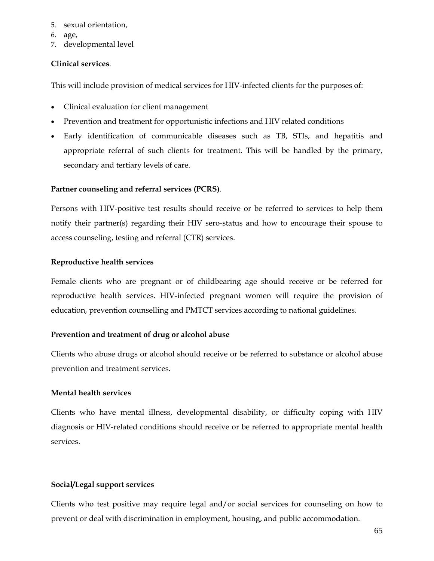- 5. sexual orientation,
- 6. age,
- 7. developmental level

#### **Clinical services**.

This will include provision of medical services for HIV-infected clients for the purposes of:

- Clinical evaluation for client management
- Prevention and treatment for opportunistic infections and HIV related conditions
- Early identification of communicable diseases such as TB, STIs, and hepatitis and appropriate referral of such clients for treatment. This will be handled by the primary, secondary and tertiary levels of care.

#### **Partner counseling and referral services (PCRS)**.

Persons with HIV-positive test results should receive or be referred to services to help them notify their partner(s) regarding their HIV sero-status and how to encourage their spouse to access counseling, testing and referral (CTR) services.

#### **Reproductive health services**

Female clients who are pregnant or of childbearing age should receive or be referred for reproductive health services. HIV-infected pregnant women will require the provision of education, prevention counselling and PMTCT services according to national guidelines.

#### **Prevention and treatment of drug or alcohol abuse**

Clients who abuse drugs or alcohol should receive or be referred to substance or alcohol abuse prevention and treatment services.

#### **Mental health services**

Clients who have mental illness, developmental disability, or difficulty coping with HIV diagnosis or HIV-related conditions should receive or be referred to appropriate mental health services.

#### **Social/Legal support services**

Clients who test positive may require legal and/or social services for counseling on how to prevent or deal with discrimination in employment, housing, and public accommodation.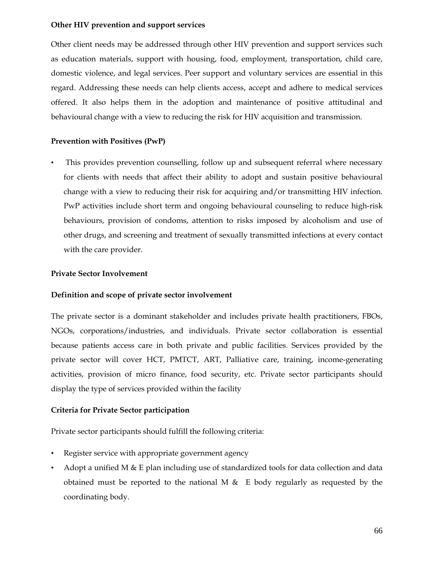#### **Other HIV prevention and support services**

Other client needs may be addressed through other HIV prevention and support services such as education materials, support with housing, food, employment, transportation, child care, domestic violence, and legal services. Peer support and voluntary services are essential in this regard. Addressing these needs can help clients access, accept and adhere to medical services offered. It also helps them in the adoption and maintenance of positive attitudinal and behavioural change with a view to reducing the risk for HIV acquisition and transmission.

#### **Prevention with Positives (PwP)**

This provides prevention counselling, follow up and subsequent referral where necessary for clients with needs that affect their ability to adopt and sustain positive behavioural change with a view to reducing their risk for acquiring and/or transmitting HIV infection. PwP activities include short term and ongoing behavioural counseling to reduce high-risk behaviours, provision of condoms, attention to risks imposed by alcoholism and use of other drugs, and screening and treatment of sexually transmitted infections at every contact with the care provider.

#### **Private Sector Involvement**

#### **Definition and scope of private sector involvement**

The private sector is a dominant stakeholder and includes private health practitioners, FBOs, NGOs, corporations/industries, and individuals. Private sector collaboration is essential because patients access care in both private and public facilities. Services provided by the private sector will cover HCT, PMTCT, ART, Palliative care, training, income-generating activities, provision of micro finance, food security, etc. Private sector participants should display the type of services provided within the facility

#### **Criteria for Private Sector participation**

Private sector participants should fulfill the following criteria:

- Register service with appropriate government agency
- Adopt a unified M  $\&$  E plan including use of standardized tools for data collection and data obtained must be reported to the national M  $\&$  E body regularly as requested by the coordinating body.